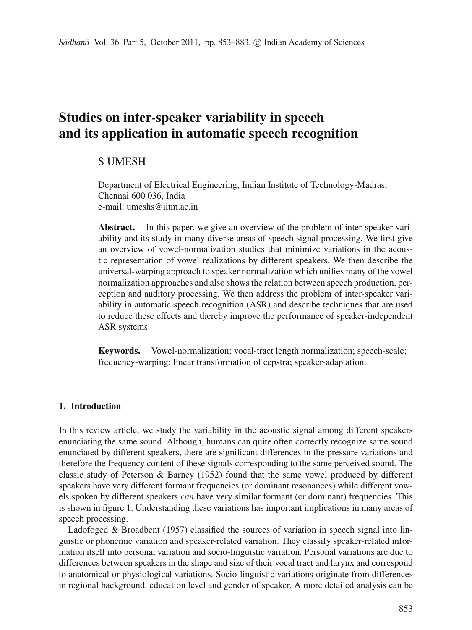# **Studies on inter-speaker variability in speech and its application in automatic speech recognition**

# S UMESH

Department of Electrical Engineering, Indian Institute of Technology-Madras, Chennai 600 036, India e-mail: umeshs@iitm.ac.in

**Abstract.** In this paper, we give an overview of the problem of inter-speaker variability and its study in many diverse areas of speech signal processing. We first give an overview of vowel-normalization studies that minimize variations in the acoustic representation of vowel realizations by different speakers. We then describe the universal-warping approach to speaker normalization which unifies many of the vowel normalization approaches and also shows the relation between speech production, perception and auditory processing. We then address the problem of inter-speaker variability in automatic speech recognition (ASR) and describe techniques that are used to reduce these effects and thereby improve the performance of speaker-independent ASR systems.

**Keywords.** Vowel-normalization; vocal-tract length normalization; speech-scale; frequency-warping; linear transformation of cepstra; speaker-adaptation.

## **1. Introduction**

In this review article, we study the variability in the acoustic signal among different speakers enunciating the same sound. Although, humans can quite often correctly recognize same sound enunciated by different speakers, there are significant differences in the pressure variations and therefore the frequency content of these signals corresponding to the same perceived sound. The classic study of Peterson & Barney (1952) found that the same vowel produced by different speakers have very different formant frequencies (or dominant resonances) while different vowels spoken by different speakers *can* have very similar formant (or dominant) frequencies. This is shown in figure 1. Understanding these variations has important implications in many areas of speech processing.

Ladofoged & Broadbent (1957) classified the sources of variation in speech signal into linguistic or phonemic variation and speaker-related variation. They classify speaker-related information itself into personal variation and socio-linguistic variation. Personal variations are due to differences between speakers in the shape and size of their vocal tract and larynx and correspond to anatomical or physiological variations. Socio-linguistic variations originate from differences in regional background, education level and gender of speaker. A more detailed analysis can be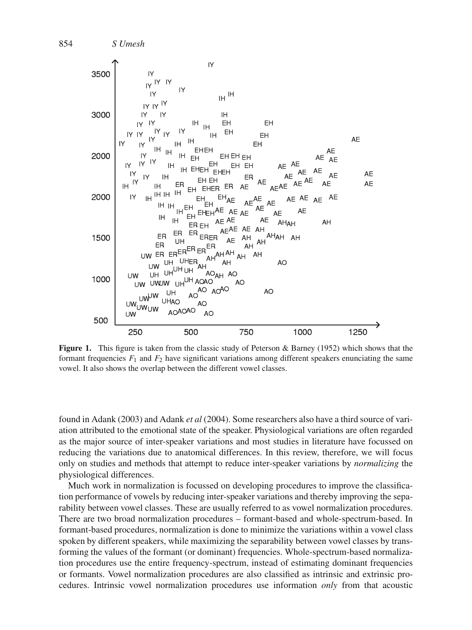

**Figure 1.** This figure is taken from the classic study of Peterson & Barney (1952) which shows that the formant frequencies  $F_1$  and  $F_2$  have significant variations among different speakers enunciating the same vowel. It also shows the overlap between the different vowel classes.

found in Adank (2003) and Adank *et al* (2004). Some researchers also have a third source of variation attributed to the emotional state of the speaker. Physiological variations are often regarded as the major source of inter-speaker variations and most studies in literature have focussed on reducing the variations due to anatomical differences. In this review, therefore, we will focus only on studies and methods that attempt to reduce inter-speaker variations by *normalizing* the physiological differences.

Much work in normalization is focussed on developing procedures to improve the classification performance of vowels by reducing inter-speaker variations and thereby improving the separability between vowel classes. These are usually referred to as vowel normalization procedures. There are two broad normalization procedures – formant-based and whole-spectrum-based. In formant-based procedures, normalization is done to minimize the variations within a vowel class spoken by different speakers, while maximizing the separability between vowel classes by transforming the values of the formant (or dominant) frequencies. Whole-spectrum-based normalization procedures use the entire frequency-spectrum, instead of estimating dominant frequencies or formants. Vowel normalization procedures are also classified as intrinsic and extrinsic procedures. Intrinsic vowel normalization procedures use information *only* from that acoustic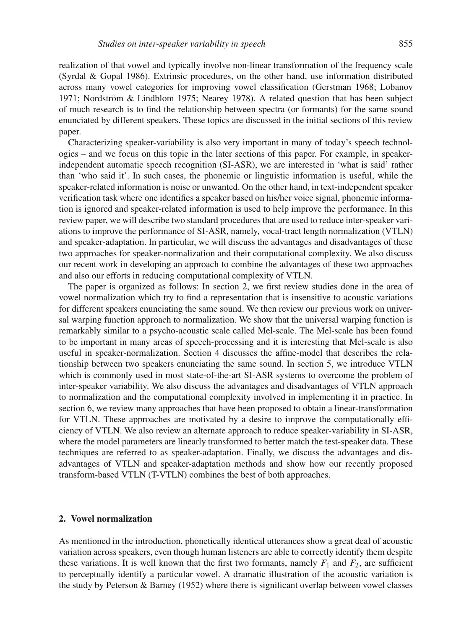realization of that vowel and typically involve non-linear transformation of the frequency scale (Syrdal & Gopal 1986). Extrinsic procedures, on the other hand, use information distributed across many vowel categories for improving vowel classification (Gerstman 1968; Lobanov 1971; Nordström & Lindblom 1975; Nearey 1978). A related question that has been subject of much research is to find the relationship between spectra (or formants) for the same sound enunciated by different speakers. These topics are discussed in the initial sections of this review paper.

Characterizing speaker-variability is also very important in many of today's speech technologies – and we focus on this topic in the later sections of this paper. For example, in speakerindependent automatic speech recognition (SI-ASR), we are interested in 'what is said' rather than 'who said it'. In such cases, the phonemic or linguistic information is useful, while the speaker-related information is noise or unwanted. On the other hand, in text-independent speaker verification task where one identifies a speaker based on his/her voice signal, phonemic information is ignored and speaker-related information is used to help improve the performance. In this review paper, we will describe two standard procedures that are used to reduce inter-speaker variations to improve the performance of SI-ASR, namely, vocal-tract length normalization (VTLN) and speaker-adaptation. In particular, we will discuss the advantages and disadvantages of these two approaches for speaker-normalization and their computational complexity. We also discuss our recent work in developing an approach to combine the advantages of these two approaches and also our efforts in reducing computational complexity of VTLN.

The paper is organized as follows: In section 2, we first review studies done in the area of vowel normalization which try to find a representation that is insensitive to acoustic variations for different speakers enunciating the same sound. We then review our previous work on universal warping function approach to normalization. We show that the universal warping function is remarkably similar to a psycho-acoustic scale called Mel-scale. The Mel-scale has been found to be important in many areas of speech-processing and it is interesting that Mel-scale is also useful in speaker-normalization. Section 4 discusses the affine-model that describes the relationship between two speakers enunciating the same sound. In section 5, we introduce VTLN which is commonly used in most state-of-the-art SI-ASR systems to overcome the problem of inter-speaker variability. We also discuss the advantages and disadvantages of VTLN approach to normalization and the computational complexity involved in implementing it in practice. In section 6, we review many approaches that have been proposed to obtain a linear-transformation for VTLN. These approaches are motivated by a desire to improve the computationally efficiency of VTLN. We also review an alternate approach to reduce speaker-variability in SI-ASR, where the model parameters are linearly transformed to better match the test-speaker data. These techniques are referred to as speaker-adaptation. Finally, we discuss the advantages and disadvantages of VTLN and speaker-adaptation methods and show how our recently proposed transform-based VTLN (T-VTLN) combines the best of both approaches.

#### **2. Vowel normalization**

As mentioned in the introduction, phonetically identical utterances show a great deal of acoustic variation across speakers, even though human listeners are able to correctly identify them despite these variations. It is well known that the first two formants, namely  $F_1$  and  $F_2$ , are sufficient to perceptually identify a particular vowel. A dramatic illustration of the acoustic variation is the study by Peterson  $\&$  Barney (1952) where there is significant overlap between vowel classes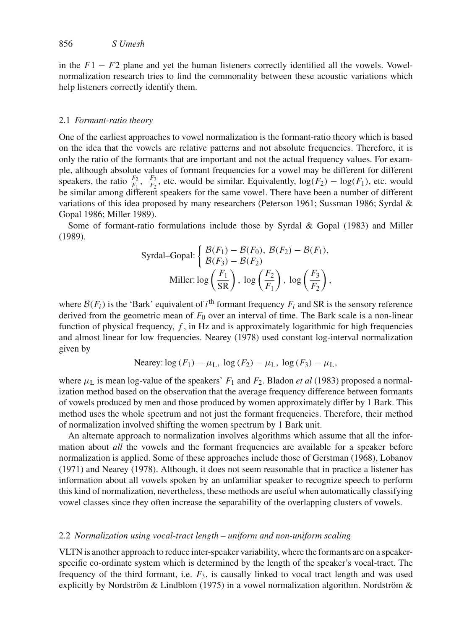in the  $F1 - F2$  plane and yet the human listeners correctly identified all the vowels. Vowelnormalization research tries to find the commonality between these acoustic variations which help listeners correctly identify them.

#### 2.1 *Formant-ratio theory*

One of the earliest approaches to vowel normalization is the formant-ratio theory which is based on the idea that the vowels are relative patterns and not absolute frequencies. Therefore, it is only the ratio of the formants that are important and not the actual frequency values. For example, although absolute values of formant frequencies for a vowel may be different for different speakers, the ratio  $\frac{F_2}{F_1}$ ,  $\frac{F_3}{F_2}$ , etc. would be similar. Equivalently,  $\log(F_2) - \log(F_1)$ , etc. would be similar among different speakers for the same vowel. There have been a number of different variations of this idea proposed by many researchers (Peterson 1961; Sussman 1986; Syrdal & Gopal 1986; Miller 1989).

Some of formant-ratio formulations include those by Syrdal & Gopal (1983) and Miller (1989).

Syrdal–Gopal: 
$$
\begin{cases} \mathcal{B}(F_1) - \mathcal{B}(F_0), \ \mathcal{B}(F_2) - \mathcal{B}(F_1), \\ \mathcal{B}(F_3) - \mathcal{B}(F_2) \end{cases}
$$
Miller:  $\log \left( \frac{F_1}{SR} \right), \ \log \left( \frac{F_2}{F_1} \right), \ \log \left( \frac{F_3}{F_2} \right),$ 

where  $\mathcal{B}(F_i)$  is the 'Bark' equivalent of *i*<sup>th</sup> formant frequency  $F_i$  and SR is the sensory reference derived from the geometric mean of *F*<sup>0</sup> over an interval of time. The Bark scale is a non-linear function of physical frequency,  $f$ , in Hz and is approximately logarithmic for high frequencies and almost linear for low frequencies. Nearey (1978) used constant log-interval normalization given by

Nearey: 
$$
\log(F_1) - \mu_L
$$
,  $\log(F_2) - \mu_L$ ,  $\log(F_3) - \mu_L$ ,

where  $\mu_L$  is mean log-value of the speakers'  $F_1$  and  $F_2$ . Bladon *et al* (1983) proposed a normalization method based on the observation that the average frequency difference between formants of vowels produced by men and those produced by women approximately differ by 1 Bark. This method uses the whole spectrum and not just the formant frequencies. Therefore, their method of normalization involved shifting the women spectrum by 1 Bark unit.

An alternate approach to normalization involves algorithms which assume that all the information about *all* the vowels and the formant frequencies are available for a speaker before normalization is applied. Some of these approaches include those of Gerstman (1968), Lobanov (1971) and Nearey (1978). Although, it does not seem reasonable that in practice a listener has information about all vowels spoken by an unfamiliar speaker to recognize speech to perform this kind of normalization, nevertheless, these methods are useful when automatically classifying vowel classes since they often increase the separability of the overlapping clusters of vowels.

#### 2.2 *Normalization using vocal-tract length – uniform and non-uniform scaling*

VLTN is another approach to reduce inter-speaker variability, where the formants are on a speakerspecific co-ordinate system which is determined by the length of the speaker's vocal-tract. The frequency of the third formant, i.e. *F*3, is causally linked to vocal tract length and was used explicitly by Nordström & Lindblom (1975) in a vowel normalization algorithm. Nordström &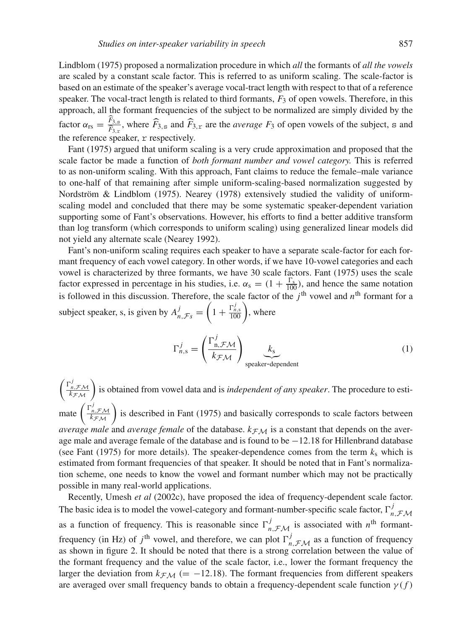Lindblom (1975) proposed a normalization procedure in which *all* the formants of *all the vowels* are scaled by a constant scale factor. This is referred to as uniform scaling. The scale-factor is based on an estimate of the speaker's average vocal-tract length with respect to that of a reference speaker. The vocal-tract length is related to third formants,  $F_3$  of open vowels. Therefore, in this approach, all the formant frequencies of the subject to be normalized are simply divided by the factor  $\alpha_{rs} = \frac{F_{3,s}}{F_{3,r}}$ , where  $\widehat{F}_{3,s}$  and  $\widehat{F}_{3,r}$  are the *average F*<sub>3</sub> of open vowels of the subject, s and the reference speaker, r respectively.

Fant (1975) argued that uniform scaling is a very crude approximation and proposed that the scale factor be made a function of *both formant number and vowel category.* This is referred to as non-uniform scaling. With this approach, Fant claims to reduce the female–male variance to one-half of that remaining after simple uniform-scaling-based normalization suggested by Nordström & Lindblom (1975). Nearey (1978) extensively studied the validity of uniformscaling model and concluded that there may be some systematic speaker-dependent variation supporting some of Fant's observations. However, his efforts to find a better additive transform than log transform (which corresponds to uniform scaling) using generalized linear models did not yield any alternate scale (Nearey 1992).

Fant's non-uniform scaling requires each speaker to have a separate scale-factor for each formant frequency of each vowel category. In other words, if we have 10-vowel categories and each vowel is characterized by three formants, we have 30 scale factors. Fant (1975) uses the scale factor expressed in percentage in his studies, i.e.  $\alpha_s = (1 + \frac{\Gamma_s}{100})$ , and hence the same notation is followed in this discussion. Therefore, the scale factor of the  $j<sup>th</sup>$  vowel and  $n<sup>th</sup>$  formant for a subject speaker, s, is given by  $A_{n,\mathcal{F}_{s}}^{j} = \left(1 + \frac{\Gamma_{n,s}^{j}}{100}\right)$ , where

$$
\Gamma_{n,s}^{j} = \left(\frac{\Gamma_{n,\mathcal{FM}}^{j}}{k_{\mathcal{F}\mathcal{M}}}\right)_{\text{speaker-dependent}}
$$
\n(1)

 $\left(\frac{\Gamma_{n,\mathcal{F}\mathcal{M}}^j}{k_{\mathcal{F}\mathcal{M}}}\right)$  is obtained from vowel data and is *independent of any speaker*. The procedure to estimate  $\left(\frac{\Gamma_{n,\mathcal{F}\mathcal{M}}^j}{k_{\mathcal{F}\mathcal{M}}}\right)$  is described in Fant (1975) and basically corresponds to scale factors between *average male* and *average female* of the database.  $k_{FM}$  is a constant that depends on the average male and average female of the database and is found to be −12.18 for Hillenbrand database (see Fant  $(1975)$  for more details). The speaker-dependence comes from the term  $k_s$  which is estimated from formant frequencies of that speaker. It should be noted that in Fant's normalization scheme, one needs to know the vowel and formant number which may not be practically possible in many real-world applications.

Recently, Umesh *et al* (2002c), have proposed the idea of frequency-dependent scale factor. The basic idea is to model the vowel-category and formant-number-specific scale factor,  $\Gamma_{n,\mathcal{FM}}^{j}$ as a function of frequency. This is reasonable since  $\Gamma^j_{n,\mathcal{FM}}$  is associated with  $n^{\text{th}}$  formantfrequency (in Hz) of *j*<sup>th</sup> vowel, and therefore, we can plot  $\Gamma^j_{n,\mathcal{FM}}$  as a function of frequency as shown in figure 2. It should be noted that there is a strong correlation between the value of the formant frequency and the value of the scale factor, i.e., lower the formant frequency the larger the deviation from  $k_{\text{FM}}$  (= −12.18). The formant frequencies from different speakers are averaged over small frequency bands to obtain a frequency-dependent scale function  $\gamma(f)$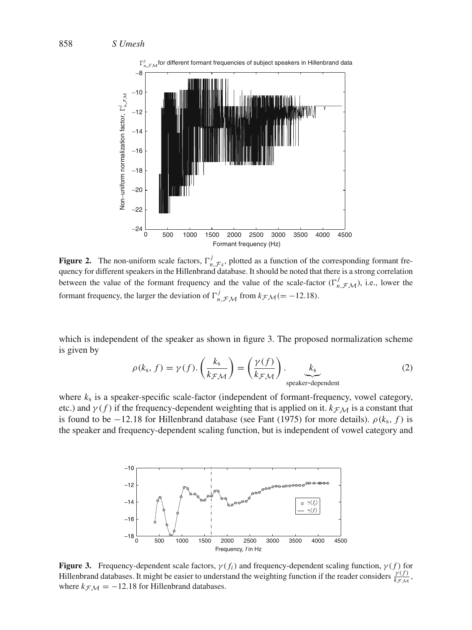

**Figure 2.** The non-uniform scale factors,  $\Gamma^j_{n,\mathcal{F}_s}$ , plotted as a function of the corresponding formant frequency for different speakers in the Hillenbrand database. It should be noted that there is a strong correlation between the value of the formant frequency and the value of the scale-factor  $(\Gamma^j_{n,\mathcal{FM}})$ , i.e., lower the formant frequency, the larger the deviation of  $\Gamma^j_{n,\mathcal{FM}}$  from  $k_{\mathcal{FM}}$  (= -12.18).

which is independent of the speaker as shown in figure 3. The proposed normalization scheme is given by

$$
\rho(k_{\rm s}, f) = \gamma(f) \cdot \left(\frac{k_{\rm s}}{k_{\rm FM}}\right) = \left(\frac{\gamma(f)}{k_{\rm FM}}\right) \cdot \underbrace{k_{\rm s}}_{\text{speaker-dependent}}
$$
\n(2)

where  $k_s$  is a speaker-specific scale-factor (independent of formant-frequency, vowel category, etc.) and  $\gamma(f)$  if the frequency-dependent weighting that is applied on it.  $k_{\mathcal{F}M}$  is a constant that is found to be  $-12.18$  for Hillenbrand database (see Fant (1975) for more details).  $\rho(k_s, f)$  is the speaker and frequency-dependent scaling function, but is independent of vowel category and



**Figure 3.** Frequency-dependent scale factors,  $\gamma(f_i)$  and frequency-dependent scaling function,  $\gamma(f)$  for Hillenbrand databases. It might be easier to understand the weighting function if the reader considers  $\frac{\gamma(f)}{k_{F,M}}$ , where  $k_{\text{FM}} = -12.18$  for Hillenbrand databases.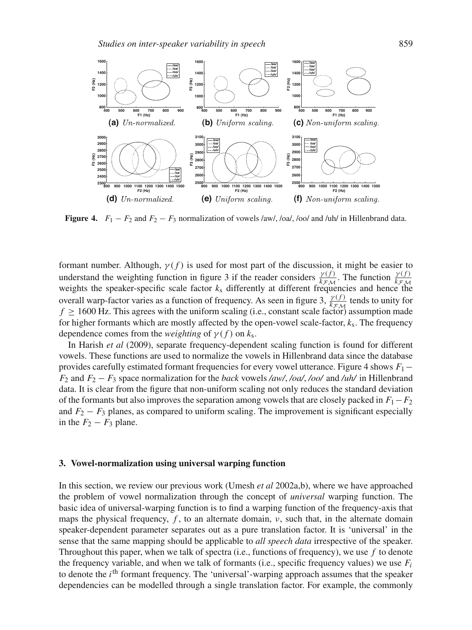

**Figure 4.**  $F_1 - F_2$  and  $F_2 - F_3$  normalization of vowels /aw/, /oa/, /oo/ and /uh/ in Hillenbrand data.

formant number. Although,  $\gamma(f)$  is used for most part of the discussion, it might be easier to understand the weighting function in figure 3 if the reader considers  $\frac{\gamma(f)}{k_{F,M}}$ . The function  $\frac{\gamma(f)}{k_{F,M}}$ weights the speaker-specific scale factor  $k_s$  differently at different frequencies and hence the overall warp-factor varies as a function of frequency. As seen in figure 3,  $\frac{\gamma(f)}{k_{F,M}}$  tends to unity for  $f \ge 1600$  Hz. This agrees with the uniform scaling (i.e., constant scale factor) assumption made for higher formants which are mostly affected by the open-vowel scale-factor, *k*s. The frequency dependence comes from the *weighting* of  $\gamma(f)$  on  $k_s$ .

In Harish *et al* (2009), separate frequency-dependent scaling function is found for different vowels. These functions are used to normalize the vowels in Hillenbrand data since the database provides carefully estimated formant frequencies for every vowel utterance. Figure 4 shows *F*1− *F*<sup>2</sup> and *F*<sup>2</sup> − *F*<sup>3</sup> space normalization for the *back* vowels */aw/*, */oa/*, */oo/* and */uh/* in Hillenbrand data. It is clear from the figure that non-uniform scaling not only reduces the standard deviation of the formants but also improves the separation among vowels that are closely packed in  $F_1-F_2$ and  $F_2 - F_3$  planes, as compared to uniform scaling. The improvement is significant especially in the  $F_2 - F_3$  plane.

#### **3. Vowel-normalization using universal warping function**

In this section, we review our previous work (Umesh *et al* 2002a,b), where we have approached the problem of vowel normalization through the concept of *universal* warping function. The basic idea of universal-warping function is to find a warping function of the frequency-axis that maps the physical frequency,  $f$ , to an alternate domain,  $v$ , such that, in the alternate domain speaker-dependent parameter separates out as a pure translation factor. It is 'universal' in the sense that the same mapping should be applicable to *all speech data* irrespective of the speaker. Throughout this paper, when we talk of spectra (i.e., functions of frequency), we use *f* to denote the frequency variable, and when we talk of formants (i.e., specific frequency values) we use  $F_i$ to denote the *i*th formant frequency. The 'universal'-warping approach assumes that the speaker dependencies can be modelled through a single translation factor. For example, the commonly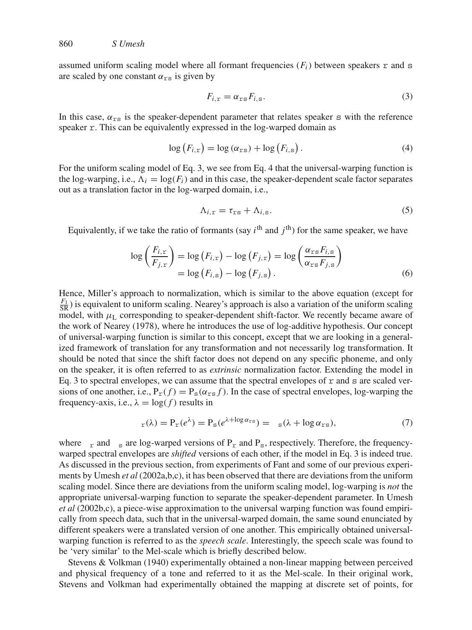assumed uniform scaling model where all formant frequencies  $(F_i)$  between speakers r and s are scaled by one constant  $\alpha_{rs}$  is given by

$$
F_{i,x} = \alpha_{\rm rs} F_{i,s}.\tag{3}
$$

In this case,  $\alpha_{rs}$  is the speaker-dependent parameter that relates speaker s with the reference speaker r. This can be equivalently expressed in the log-warped domain as

$$
\log (F_{i,\mathrm{r}}) = \log (\alpha_{\mathrm{rs}}) + \log (F_{i,\mathrm{s}}). \tag{4}
$$

For the uniform scaling model of Eq. 3, we see from Eq. 4 that the universal-warping function is the log-warping, i.e.,  $\Lambda_i = \log(F_i)$  and in this case, the speaker-dependent scale factor separates out as a translation factor in the log-warped domain, i.e.,

$$
\Lambda_{i,r} = \tau_{rs} + \Lambda_{i,s}.\tag{5}
$$

Equivalently, if we take the ratio of formants (say  $i<sup>th</sup>$  and  $j<sup>th</sup>$ ) for the same speaker, we have

$$
\log\left(\frac{F_{i,x}}{F_{j,x}}\right) = \log\left(F_{i,x}\right) - \log\left(F_{j,x}\right) = \log\left(\frac{\alpha_{\text{rs}}F_{i,\text{s}}}{\alpha_{\text{rs}}F_{j,\text{s}}}\right)
$$

$$
= \log\left(F_{i,\text{s}}\right) - \log\left(F_{j,\text{s}}\right). \tag{6}
$$

Hence, Miller's approach to normalization, which is similar to the above equation (except for  $\frac{F_1}{SR}$ ) is equivalent to uniform scaling. Nearey's approach is also a variation of the uniform scaling model, with  $\mu$ <sub>L</sub> corresponding to speaker-dependent shift-factor. We recently became aware of the work of Nearey (1978), where he introduces the use of log-additive hypothesis. Our concept of universal-warping function is similar to this concept, except that we are looking in a generalized framework of translation for any transformation and not necessarily log transformation. It should be noted that since the shift factor does not depend on any specific phoneme, and only on the speaker, it is often referred to as *extrinsic* normalization factor. Extending the model in Eq. 3 to spectral envelopes, we can assume that the spectral envelopes of  $r$  and  $s$  are scaled versions of one another, i.e.,  $P_r(f) = P_s(\alpha_{rs} f)$ . In the case of spectral envelopes, log-warping the frequency-axis, i.e.,  $\lambda = \log(f)$  results in

$$
P_{r}(\lambda) = P_{r}(e^{\lambda}) = P_{s}(e^{\lambda + \log \alpha_{rs}}) = P_{s}(\lambda + \log \alpha_{rs}),
$$
\n(7)

where  $r_{\rm r}$  and  $r_{\rm s}$  are log-warped versions of  $P_{\rm r}$  and  $P_{\rm s}$ , respectively. Therefore, the frequencywarped spectral envelopes are *shifted* versions of each other, if the model in Eq. 3 is indeed true. As discussed in the previous section, from experiments of Fant and some of our previous experiments by Umesh *et al* (2002a,b,c), it has been observed that there are deviations from the uniform scaling model. Since there are deviations from the uniform scaling model, log-warping is *not* the appropriate universal-warping function to separate the speaker-dependent parameter. In Umesh *et al* (2002b,c), a piece-wise approximation to the universal warping function was found empirically from speech data, such that in the universal-warped domain, the same sound enunciated by different speakers were a translated version of one another. This empirically obtained universalwarping function is referred to as the *speech scale*. Interestingly, the speech scale was found to be 'very similar' to the Mel-scale which is briefly described below.

Stevens & Volkman (1940) experimentally obtained a non-linear mapping between perceived and physical frequency of a tone and referred to it as the Mel-scale. In their original work, Stevens and Volkman had experimentally obtained the mapping at discrete set of points, for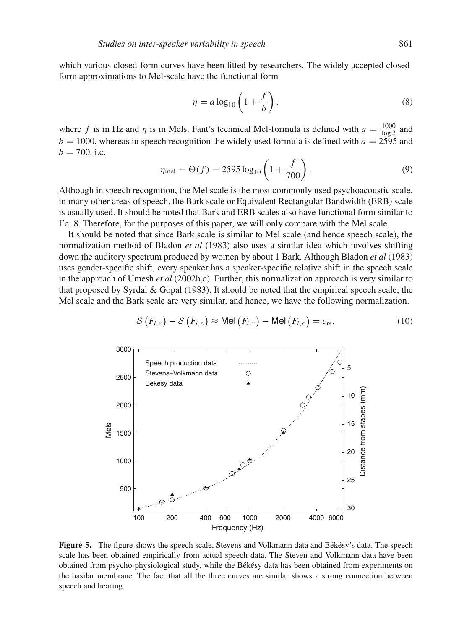which various closed-form curves have been fitted by researchers. The widely accepted closedform approximations to Mel-scale have the functional form

$$
\eta = a \log_{10} \left( 1 + \frac{f}{b} \right),\tag{8}
$$

where *f* is in Hz and  $\eta$  is in Mels. Fant's technical Mel-formula is defined with  $a = \frac{1000}{\log 2}$  and  $b = 1000$ , whereas in speech recognition the widely used formula is defined with  $a = 2595$  and  $b = 700$ , i.e.

$$
\eta_{\text{mel}} = \Theta(f) = 2595 \log_{10} \left( 1 + \frac{f}{700} \right). \tag{9}
$$

Although in speech recognition, the Mel scale is the most commonly used psychoacoustic scale, in many other areas of speech, the Bark scale or Equivalent Rectangular Bandwidth (ERB) scale is usually used. It should be noted that Bark and ERB scales also have functional form similar to Eq. 8. Therefore, for the purposes of this paper, we will only compare with the Mel scale.

It should be noted that since Bark scale is similar to Mel scale (and hence speech scale), the normalization method of Bladon *et al* (1983) also uses a similar idea which involves shifting down the auditory spectrum produced by women by about 1 Bark. Although Bladon *et al* (1983) uses gender-specific shift, every speaker has a speaker-specific relative shift in the speech scale in the approach of Umesh *et al* (2002b,c). Further, this normalization approach is very similar to that proposed by Syrdal & Gopal (1983). It should be noted that the empirical speech scale, the Mel scale and the Bark scale are very similar, and hence, we have the following normalization.

$$
S(F_{i,x}) - S(F_{i,s}) \approx \text{Mel}(F_{i,x}) - \text{Mel}(F_{i,s}) = c_{rs},\tag{10}
$$



**Figure 5.** The figure shows the speech scale, Stevens and Volkmann data and Békésy's data. The speech scale has been obtained empirically from actual speech data. The Steven and Volkmann data have been obtained from psycho-physiological study, while the Békésy data has been obtained from experiments on the basilar membrane. The fact that all the three curves are similar shows a strong connection between speech and hearing.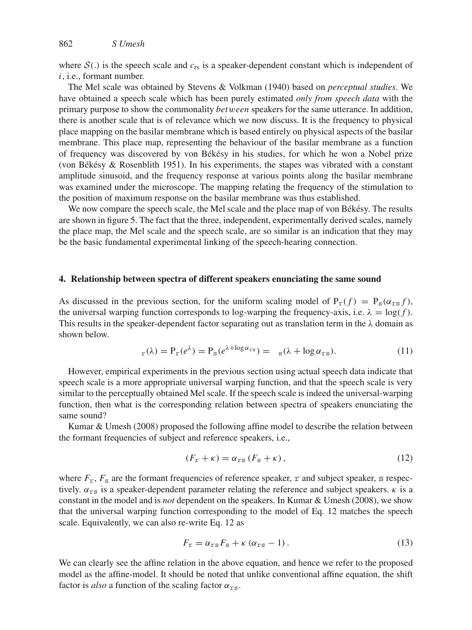where  $S(.)$  is the speech scale and  $c_{rs}$  is a speaker-dependent constant which is independent of *i*, i.e., formant number.

The Mel scale was obtained by Stevens & Volkman (1940) based on *perceptual studies*. We have obtained a speech scale which has been purely estimated *only from speech data* with the primary purpose to show the commonality *bet*w*een* speakers for the same utterance. In addition, there is another scale that is of relevance which we now discuss. It is the frequency to physical place mapping on the basilar membrane which is based entirely on physical aspects of the basilar membrane. This place map, representing the behaviour of the basilar membrane as a function of frequency was discovered by von Békésy in his studies, for which he won a Nobel prize (von Békésy & Rosenblith 1951). In his experiments, the stapes was vibrated with a constant amplitude sinusoid, and the frequency response at various points along the basilar membrane was examined under the microscope. The mapping relating the frequency of the stimulation to the position of maximum response on the basilar membrane was thus established.

We now compare the speech scale, the Mel scale and the place map of von Békésy. The results are shown in figure 5. The fact that the three, independent, experimentally derived scales, namely the place map, the Mel scale and the speech scale, are so similar is an indication that they may be the basic fundamental experimental linking of the speech-hearing connection.

#### **4. Relationship between spectra of different speakers enunciating the same sound**

As discussed in the previous section, for the uniform scaling model of  $P_r(f) = P_s(\alpha_{rs} f)$ , the universal warping function corresponds to log-warping the frequency-axis, i.e.  $\lambda = \log(f)$ . This results in the speaker-dependent factor separating out as translation term in the  $\lambda$  domain as shown below.

$$
P_{r}(\lambda) = P_{r}(e^{\lambda}) = P_{s}(e^{\lambda + \log \alpha_{rs}}) = \varepsilon_{s}(\lambda + \log \alpha_{rs}). \tag{11}
$$

However, empirical experiments in the previous section using actual speech data indicate that speech scale is a more appropriate universal warping function, and that the speech scale is very similar to the perceptually obtained Mel scale. If the speech scale is indeed the universal-warping function, then what is the corresponding relation between spectra of speakers enunciating the same sound?

Kumar & Umesh (2008) proposed the following affine model to describe the relation between the formant frequencies of subject and reference speakers, i.e.,

$$
(F_{\rm r} + \kappa) = \alpha_{\rm rs} \left( F_{\rm s} + \kappa \right),\tag{12}
$$

where  $F_r$ ,  $F_s$  are the formant frequencies of reference speaker,  $r$  and subject speaker,  $s$  respectively.  $\alpha_{\text{rs}}$  is a speaker-dependent parameter relating the reference and subject speakers.  $\kappa$  is a constant in the model and is *not* dependent on the speakers. In Kumar & Umesh (2008), we show that the universal warping function corresponding to the model of Eq. 12 matches the speech scale. Equivalently, we can also re-write Eq. 12 as

$$
F_{\rm r} = \alpha_{\rm rs} F_{\rm s} + \kappa \left( \alpha_{\rm rs} - 1 \right). \tag{13}
$$

We can clearly see the affine relation in the above equation, and hence we refer to the proposed model as the affine-model. It should be noted that unlike conventional affine equation, the shift factor is *also* a function of the scaling factor  $\alpha_{\text{rs}}$ .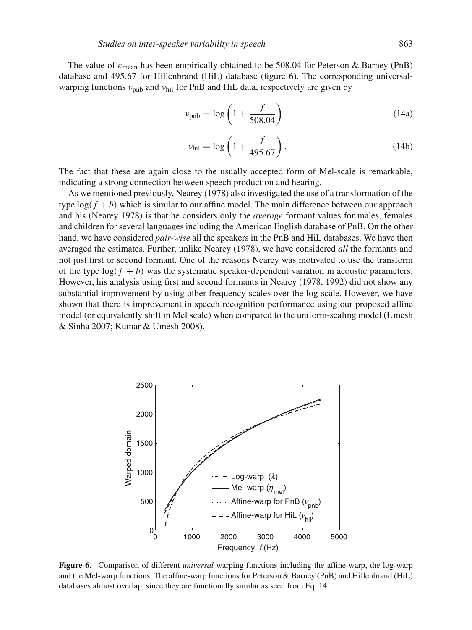The value of  $\kappa_{\text{mean}}$  has been empirically obtained to be 508.04 for Peterson & Barney (PnB) database and 495.67 for Hillenbrand (HiL) database (figure 6). The corresponding universalwarping functions  $v_{\text{pnb}}$  and  $v_{\text{hil}}$  for PnB and HiL data, respectively are given by

$$
v_{\rm pnb} = \log\left(1 + \frac{f}{508.04}\right) \tag{14a}
$$

$$
\nu_{\text{hil}} = \log\left(1 + \frac{f}{495.67}\right). \tag{14b}
$$

The fact that these are again close to the usually accepted form of Mel-scale is remarkable, indicating a strong connection between speech production and hearing.

As we mentioned previously, Nearey (1978) also investigated the use of a transformation of the type  $log(f + b)$  which is similar to our affine model. The main difference between our approach and his (Nearey 1978) is that he considers only the *average* formant values for males, females and children for several languages including the American English database of PnB. On the other hand, we have considered *pair-wise* all the speakers in the PnB and HiL databases. We have then averaged the estimates. Further, unlike Nearey (1978), we have considered *all* the formants and not just first or second formant. One of the reasons Nearey was motivated to use the transform of the type  $log(f + b)$  was the systematic speaker-dependent variation in acoustic parameters. However, his analysis using first and second formants in Nearey (1978, 1992) did not show any substantial improvement by using other frequency-scales over the log-scale. However, we have shown that there is improvement in speech recognition performance using our proposed affine model (or equivalently shift in Mel scale) when compared to the uniform-scaling model (Umesh & Sinha 2007; Kumar & Umesh 2008).



**Figure 6.** Comparison of different *universal* warping functions including the affine-warp, the log-warp and the Mel-warp functions. The affine-warp functions for Peterson & Barney (PnB) and Hillenbrand (HiL) databases almost overlap, since they are functionally similar as seen from Eq. 14.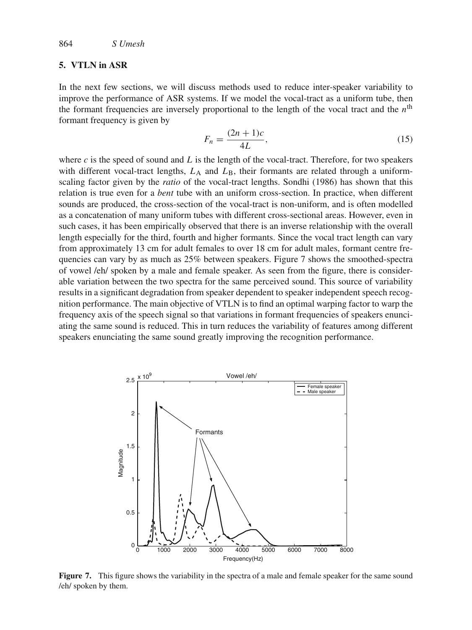## **5. VTLN in ASR**

In the next few sections, we will discuss methods used to reduce inter-speaker variability to improve the performance of ASR systems. If we model the vocal-tract as a uniform tube, then the formant frequencies are inversely proportional to the length of the vocal tract and the *n*th formant frequency is given by

$$
F_n = \frac{(2n+1)c}{4L},\tag{15}
$$

where  $c$  is the speed of sound and  $L$  is the length of the vocal-tract. Therefore, for two speakers with different vocal-tract lengths,  $L_A$  and  $L_B$ , their formants are related through a uniformscaling factor given by the *ratio* of the vocal-tract lengths. Sondhi (1986) has shown that this relation is true even for a *bent* tube with an uniform cross-section. In practice, when different sounds are produced, the cross-section of the vocal-tract is non-uniform, and is often modelled as a concatenation of many uniform tubes with different cross-sectional areas. However, even in such cases, it has been empirically observed that there is an inverse relationship with the overall length especially for the third, fourth and higher formants. Since the vocal tract length can vary from approximately 13 cm for adult females to over 18 cm for adult males, formant centre frequencies can vary by as much as 25% between speakers. Figure 7 shows the smoothed-spectra of vowel /eh/ spoken by a male and female speaker. As seen from the figure, there is considerable variation between the two spectra for the same perceived sound. This source of variability results in a significant degradation from speaker dependent to speaker independent speech recognition performance. The main objective of VTLN is to find an optimal warping factor to warp the frequency axis of the speech signal so that variations in formant frequencies of speakers enunciating the same sound is reduced. This in turn reduces the variability of features among different speakers enunciating the same sound greatly improving the recognition performance.



**Figure 7.** This figure shows the variability in the spectra of a male and female speaker for the same sound /eh/ spoken by them.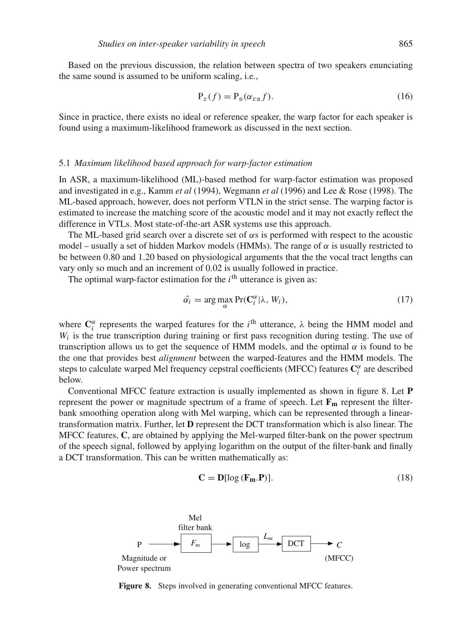Based on the previous discussion, the relation between spectra of two speakers enunciating the same sound is assumed to be uniform scaling, i.e.,

$$
P_{\rm r}(f) = P_{\rm s}(\alpha_{\rm rs} f). \tag{16}
$$

Since in practice, there exists no ideal or reference speaker, the warp factor for each speaker is found using a maximum-likelihood framework as discussed in the next section.

#### 5.1 *Maximum likelihood based approach for warp-factor estimation*

In ASR, a maximum-likelihood (ML)-based method for warp-factor estimation was proposed and investigated in e.g., Kamm *et al* (1994), Wegmann *et al* (1996) and Lee & Rose (1998). The ML-based approach, however, does not perform VTLN in the strict sense. The warping factor is estimated to increase the matching score of the acoustic model and it may not exactly reflect the difference in VTLs. Most state-of-the-art ASR systems use this approach.

The ML-based grid search over a discrete set of  $\alpha$  is performed with respect to the acoustic model – usually a set of hidden Markov models (HMMs). The range of  $\alpha$  is usually restricted to be between 0.80 and 1.20 based on physiological arguments that the the vocal tract lengths can vary only so much and an increment of 0.02 is usually followed in practice.

The optimal warp-factor estimation for the  $i<sup>th</sup>$  utterance is given as:

$$
\hat{\alpha_i} = \arg \max_{\alpha} \Pr(C_i^{\alpha} | \lambda, W_i), \tag{17}
$$

where  $\mathbf{C}_i^{\alpha}$  represents the warped features for the *i*<sup>th</sup> utterance,  $\lambda$  being the HMM model and *Wi* is the true transcription during training or first pass recognition during testing. The use of transcription allows us to get the sequence of HMM models, and the optimal  $\alpha$  is found to be the one that provides best *alignment* between the warped-features and the HMM models. The steps to calculate warped Mel frequency cepstral coefficients (MFCC) features  $\mathbf{C}^{\alpha}_i$  are described below.

Conventional MFCC feature extraction is usually implemented as shown in figure 8. Let **P** represent the power or magnitude spectrum of a frame of speech. Let **Fm** represent the filterbank smoothing operation along with Mel warping, which can be represented through a lineartransformation matrix. Further, let **D** represent the DCT transformation which is also linear. The MFCC features, **C**, are obtained by applying the Mel-warped filter-bank on the power spectrum of the speech signal, followed by applying logarithm on the output of the filter-bank and finally a DCT transformation. This can be written mathematically as:

$$
\mathbf{C} = \mathbf{D}[\log(\mathbf{F_m}.\mathbf{P})].\tag{18}
$$



**Figure 8.** Steps involved in generating conventional MFCC features.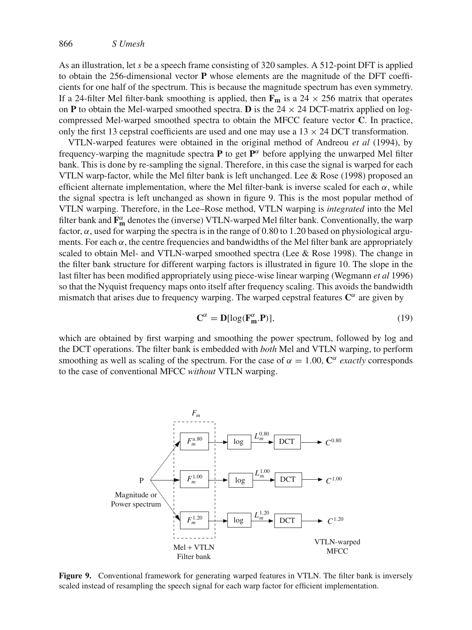As an illustration, let *s* be a speech frame consisting of 320 samples. A 512-point DFT is applied to obtain the 256-dimensional vector **P** whose elements are the magnitude of the DFT coefficients for one half of the spectrum. This is because the magnitude spectrum has even symmetry. If a 24-filter Mel filter-bank smoothing is applied, then  $\mathbf{F_m}$  is a 24  $\times$  256 matrix that operates on **P** to obtain the Mel-warped smoothed spectra. **D** is the  $24 \times 24$  DCT-matrix applied on logcompressed Mel-warped smoothed spectra to obtain the MFCC feature vector **C**. In practice, only the first 13 cepstral coefficients are used and one may use a  $13 \times 24$  DCT transformation.

VTLN-warped features were obtained in the original method of Andreou *et al* (1994), by frequency-warping the magnitude spectra **P** to get  $\mathbf{P}^{\alpha}$  before applying the unwarped Mel filter bank. This is done by re-sampling the signal. Therefore, in this case the signal is warped for each VTLN warp-factor, while the Mel filter bank is left unchanged. Lee & Rose (1998) proposed an efficient alternate implementation, where the Mel filter-bank is inverse scaled for each  $\alpha$ , while the signal spectra is left unchanged as shown in figure 9. This is the most popular method of VTLN warping. Therefore, in the Lee–Rose method, VTLN warping is *integrated* into the Mel filter bank and  $\mathbf{F}_{\mathbf{m}}^{\alpha}$  denotes the (inverse) VTLN-warped Mel filter bank. Conventionally, the warp factor,  $\alpha$ , used for warping the spectra is in the range of 0.80 to 1.20 based on physiological arguments. For each  $\alpha$ , the centre frequencies and bandwidths of the Mel filter bank are appropriately scaled to obtain Mel- and VTLN-warped smoothed spectra (Lee & Rose 1998). The change in the filter bank structure for different warping factors is illustrated in figure 10. The slope in the last filter has been modified appropriately using piece-wise linear warping (Wegmann *et al* 1996) so that the Nyquist frequency maps onto itself after frequency scaling. This avoids the bandwidth mismatch that arises due to frequency warping. The warped cepstral features  $\mathbb{C}^{\alpha}$  are given by

$$
\mathbf{C}^{\alpha} = \mathbf{D}[\log(\mathbf{F}_{\mathbf{m}}^{\alpha}, \mathbf{P})],\tag{19}
$$

which are obtained by first warping and smoothing the power spectrum, followed by log and the DCT operations. The filter bank is embedded with *both* Mel and VTLN warping, to perform smoothing as well as scaling of the spectrum. For the case of  $\alpha = 1.00$ ,  $\mathbb{C}^{\alpha}$  *exactly* corresponds to the case of conventional MFCC *without* VTLN warping.



**Figure 9.** Conventional framework for generating warped features in VTLN. The filter bank is inversely scaled instead of resampling the speech signal for each warp factor for efficient implementation.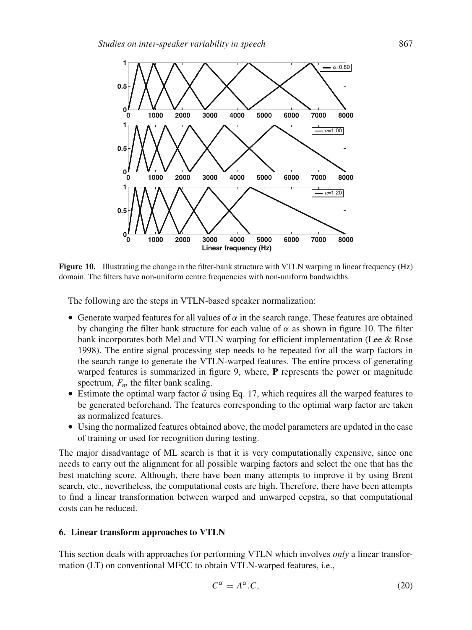

**Figure 10.** Illustrating the change in the filter-bank structure with VTLN warping in linear frequency (Hz) domain. The filters have non-uniform centre frequencies with non-uniform bandwidths.

The following are the steps in VTLN-based speaker normalization:

- Generate warped features for all values of  $\alpha$  in the search range. These features are obtained by changing the filter bank structure for each value of  $\alpha$  as shown in figure 10. The filter bank incorporates both Mel and VTLN warping for efficient implementation (Lee & Rose 1998). The entire signal processing step needs to be repeated for all the warp factors in the search range to generate the VTLN-warped features. The entire process of generating warped features is summarized in figure 9, where, **P** represents the power or magnitude spectrum,  $F_m$  the filter bank scaling.
- Estimate the optimal warp factor  $\hat{\alpha}$  using Eq. 17, which requires all the warped features to be generated beforehand. The features corresponding to the optimal warp factor are taken as normalized features.
- Using the normalized features obtained above, the model parameters are updated in the case of training or used for recognition during testing.

The major disadvantage of ML search is that it is very computationally expensive, since one needs to carry out the alignment for all possible warping factors and select the one that has the best matching score. Although, there have been many attempts to improve it by using Brent search, etc., nevertheless, the computational costs are high. Therefore, there have been attempts to find a linear transformation between warped and unwarped cepstra, so that computational costs can be reduced.

### **6. Linear transform approaches to VTLN**

This section deals with approaches for performing VTLN which involves *only* a linear transformation (LT) on conventional MFCC to obtain VTLN-warped features, i.e.,

$$
C^{\alpha} = A^{\alpha} . C, \tag{20}
$$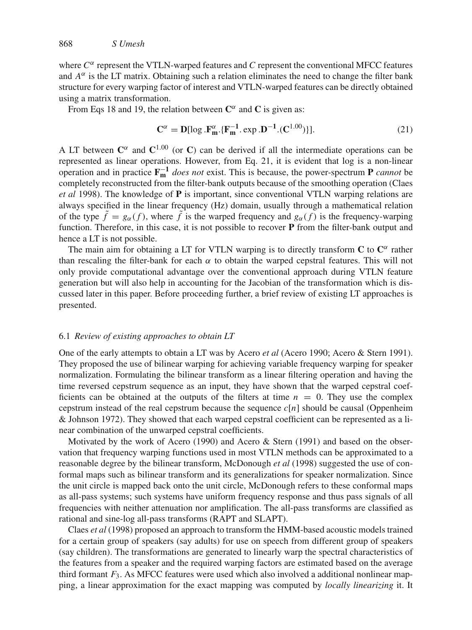where  $C^{\alpha}$  represent the VTLN-warped features and  $C$  represent the conventional MFCC features and  $A^{\alpha}$  is the LT matrix. Obtaining such a relation eliminates the need to change the filter bank structure for every warping factor of interest and VTLN-warped features can be directly obtained using a matrix transformation.

From Eqs 18 and 19, the relation between  $\mathbb{C}^{\alpha}$  and **C** is given as:

$$
\mathbf{C}^{\alpha} = \mathbf{D}[\log \mathbf{F}_{\mathbf{m}}^{\alpha} \cdot \mathbf{F}_{\mathbf{m}}^{-1} \cdot \exp \mathbf{D}^{-1} \cdot (\mathbf{C}^{1.00})\}].
$$
 (21)

A LT between  $C^{\alpha}$  and  $C^{1.00}$  (or **C**) can be derived if all the intermediate operations can be represented as linear operations. However, from Eq. 21, it is evident that log is a non-linear operation and in practice **F**−**<sup>1</sup> <sup>m</sup>** *does not* exist. This is because, the power-spectrum **P** *cannot* be completely reconstructed from the filter-bank outputs because of the smoothing operation (Claes *et al* 1998). The knowledge of **P** is important, since conventional VTLN warping relations are always specified in the linear frequency (Hz) domain, usually through a mathematical relation of the type  $\tilde{f} = g_{\alpha}(f)$ , where  $\tilde{f}$  is the warped frequency and  $g_{\alpha}(f)$  is the frequency-warping function. Therefore, in this case, it is not possible to recover **P** from the filter-bank output and hence a LT is not possible.

The main aim for obtaining a LT for VTLN warping is to directly transform **C** to  $\mathbb{C}^{\alpha}$  rather than rescaling the filter-bank for each  $\alpha$  to obtain the warped cepstral features. This will not only provide computational advantage over the conventional approach during VTLN feature generation but will also help in accounting for the Jacobian of the transformation which is discussed later in this paper. Before proceeding further, a brief review of existing LT approaches is presented.

### 6.1 *Review of existing approaches to obtain LT*

One of the early attempts to obtain a LT was by Acero *et al* (Acero 1990; Acero & Stern 1991). They proposed the use of bilinear warping for achieving variable frequency warping for speaker normalization. Formulating the bilinear transform as a linear filtering operation and having the time reversed cepstrum sequence as an input, they have shown that the warped cepstral coefficients can be obtained at the outputs of the filters at time  $n = 0$ . They use the complex cepstrum instead of the real cepstrum because the sequence  $c[n]$  should be causal (Oppenheim & Johnson 1972). They showed that each warped cepstral coefficient can be represented as a linear combination of the unwarped cepstral coefficients.

Motivated by the work of Acero (1990) and Acero & Stern (1991) and based on the observation that frequency warping functions used in most VTLN methods can be approximated to a reasonable degree by the bilinear transform, McDonough *et al* (1998) suggested the use of conformal maps such as bilinear transform and its generalizations for speaker normalization. Since the unit circle is mapped back onto the unit circle, McDonough refers to these conformal maps as all-pass systems; such systems have uniform frequency response and thus pass signals of all frequencies with neither attenuation nor amplification. The all-pass transforms are classified as rational and sine-log all-pass transforms (RAPT and SLAPT).

Claes *et al* (1998) proposed an approach to transform the HMM-based acoustic models trained for a certain group of speakers (say adults) for use on speech from different group of speakers (say children). The transformations are generated to linearly warp the spectral characteristics of the features from a speaker and the required warping factors are estimated based on the average third formant  $F_3$ . As MFCC features were used which also involved a additional nonlinear mapping, a linear approximation for the exact mapping was computed by *locally linearizing* it. It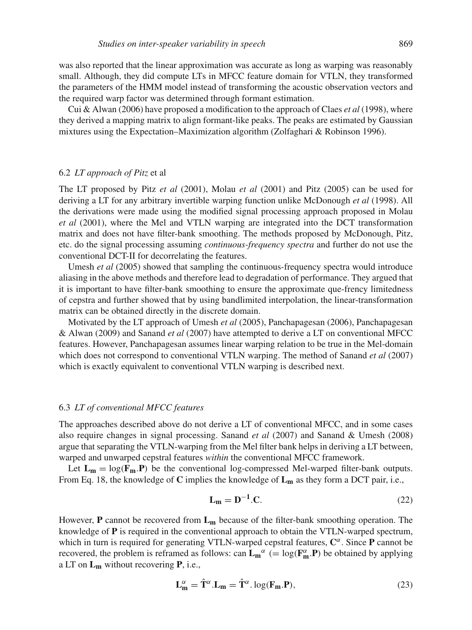was also reported that the linear approximation was accurate as long as warping was reasonably small. Although, they did compute LTs in MFCC feature domain for VTLN, they transformed the parameters of the HMM model instead of transforming the acoustic observation vectors and the required warp factor was determined through formant estimation.

Cui & Alwan (2006) have proposed a modification to the approach of Claes *et al* (1998), where they derived a mapping matrix to align formant-like peaks. The peaks are estimated by Gaussian mixtures using the Expectation–Maximization algorithm (Zolfaghari & Robinson 1996).

## 6.2 *LT approach of Pitz* et al

The LT proposed by Pitz *et al* (2001), Molau *et al* (2001) and Pitz (2005) can be used for deriving a LT for any arbitrary invertible warping function unlike McDonough *et al* (1998). All the derivations were made using the modified signal processing approach proposed in Molau *et al* (2001), where the Mel and VTLN warping are integrated into the DCT transformation matrix and does not have filter-bank smoothing. The methods proposed by McDonough, Pitz, etc. do the signal processing assuming *continuous-frequency spectra* and further do not use the conventional DCT-II for decorrelating the features.

Umesh *et al* (2005) showed that sampling the continuous-frequency spectra would introduce aliasing in the above methods and therefore lead to degradation of performance. They argued that it is important to have filter-bank smoothing to ensure the approximate que-frency limitedness of cepstra and further showed that by using bandlimited interpolation, the linear-transformation matrix can be obtained directly in the discrete domain.

Motivated by the LT approach of Umesh *et al* (2005), Panchapagesan (2006), Panchapagesan & Alwan (2009) and Sanand *et al* (2007) have attempted to derive a LT on conventional MFCC features. However, Panchapagesan assumes linear warping relation to be true in the Mel-domain which does not correspond to conventional VTLN warping. The method of Sanand *et al* (2007) which is exactly equivalent to conventional VTLN warping is described next.

#### 6.3 *LT of conventional MFCC features*

The approaches described above do not derive a LT of conventional MFCC, and in some cases also require changes in signal processing. Sanand *et al* (2007) and Sanand & Umesh (2008) argue that separating the VTLN-warping from the Mel filter bank helps in deriving a LT between, warped and unwarped cepstral features *within* the conventional MFCC framework.

Let  $\mathbf{L_m} = \log(\mathbf{F_m.P})$  be the conventional log-compressed Mel-warped filter-bank outputs. From Eq. 18, the knowledge of **C** implies the knowledge of **Lm** as they form a DCT pair, i.e.,

$$
\mathbf{L}_{\mathbf{m}} = \mathbf{D}^{-1}.\mathbf{C}.\tag{22}
$$

However, **P** cannot be recovered from **Lm** because of the filter-bank smoothing operation. The knowledge of **P** is required in the conventional approach to obtain the VTLN-warped spectrum, which in turn is required for generating VTLN-warped cepstral features, **C**α. Since **P** cannot be recovered, the problem is reframed as follows: can  $L_m^{\alpha}$  (= log( $F_m^{\alpha}$ .**P**) be obtained by applying a LT on **Lm** without recovering **P**, i.e.,

$$
\mathbf{L}_{\mathbf{m}}^{\alpha} = \hat{\mathbf{T}}^{\alpha}.\mathbf{L}_{\mathbf{m}} = \hat{\mathbf{T}}^{\alpha}.\log(\mathbf{F}_{\mathbf{m}}.\mathbf{P}),\tag{23}
$$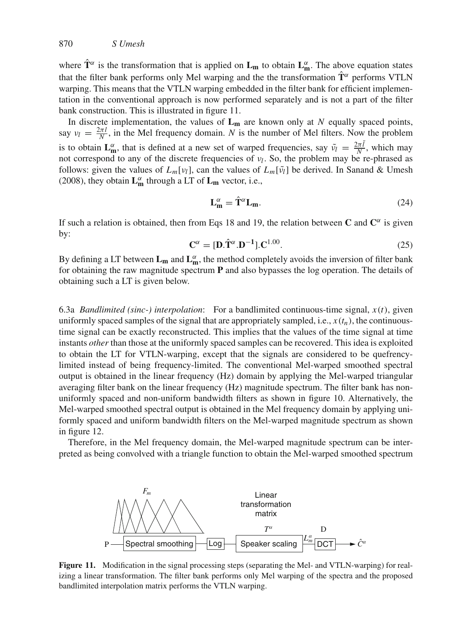where  $\hat{\mathbf{T}}^{\alpha}$  is the transformation that is applied on  $\mathbf{L}_{m}$  to obtain  $\mathbf{L}_{m}^{\alpha}$ . The above equation states that the filter bank performs only Mel warping and the the transformation  $\hat{\mathbf{T}}^{\alpha}$  performs VTLN warping. This means that the VTLN warping embedded in the filter bank for efficient implementation in the conventional approach is now performed separately and is not a part of the filter bank construction. This is illustrated in figure 11.

In discrete implementation, the values of  $L_m$  are known only at  $N$  equally spaced points, say  $v_l = \frac{2\pi l}{N}$ , in the Mel frequency domain. *N* is the number of Mel filters. Now the problem is to obtain  $\mathbf{L}_{\mathbf{m}}^{\alpha}$ , that is defined at a new set of warped frequencies, say  $\tilde{v}_l = \frac{2\pi \tilde{l}}{N}$ , which may not correspond to any of the discrete frequencies of  $v_l$ . So, the problem may be re-phrased as follows: given the values of  $L_m[v_l]$ , can the values of  $L_m[\tilde{v_l}]$  be derived. In Sanand & Umesh (2008), they obtain  $\mathbf{L}_{\mathbf{m}}^{\alpha}$  through a LT of  $\mathbf{L}_{\mathbf{m}}$  vector, i.e.,

$$
\mathbf{L}_{\mathbf{m}}^{\alpha} = \hat{\mathbf{T}}^{\alpha} \mathbf{L}_{\mathbf{m}}.
$$
 (24)

If such a relation is obtained, then from Eqs 18 and 19, the relation between **C** and  $\mathbb{C}^{\alpha}$  is given by:

$$
\mathbf{C}^{\alpha} = [\mathbf{D}.\hat{\mathbf{T}}^{\alpha}.\mathbf{D}^{-1}].\mathbf{C}^{1.00}.
$$
 (25)

By defining a LT between  $L_m$  and  $L_m^{\alpha}$ , the method completely avoids the inversion of filter bank for obtaining the raw magnitude spectrum **P** and also bypasses the log operation. The details of obtaining such a LT is given below.

6.3a *Bandlimited (sinc-) interpolation*: For a bandlimited continuous-time signal, *x*(*t*), given uniformly spaced samples of the signal that are appropriately sampled, i.e.,  $x(t_n)$ , the continuoustime signal can be exactly reconstructed. This implies that the values of the time signal at time instants *other* than those at the uniformly spaced samples can be recovered. This idea is exploited to obtain the LT for VTLN-warping, except that the signals are considered to be quefrencylimited instead of being frequency-limited. The conventional Mel-warped smoothed spectral output is obtained in the linear frequency (Hz) domain by applying the Mel-warped triangular averaging filter bank on the linear frequency (Hz) magnitude spectrum. The filter bank has nonuniformly spaced and non-uniform bandwidth filters as shown in figure 10. Alternatively, the Mel-warped smoothed spectral output is obtained in the Mel frequency domain by applying uniformly spaced and uniform bandwidth filters on the Mel-warped magnitude spectrum as shown in figure 12.

Therefore, in the Mel frequency domain, the Mel-warped magnitude spectrum can be interpreted as being convolved with a triangle function to obtain the Mel-warped smoothed spectrum



**Figure 11.** Modification in the signal processing steps (separating the Mel- and VTLN-warping) for realizing a linear transformation. The filter bank performs only Mel warping of the spectra and the proposed bandlimited interpolation matrix performs the VTLN warping.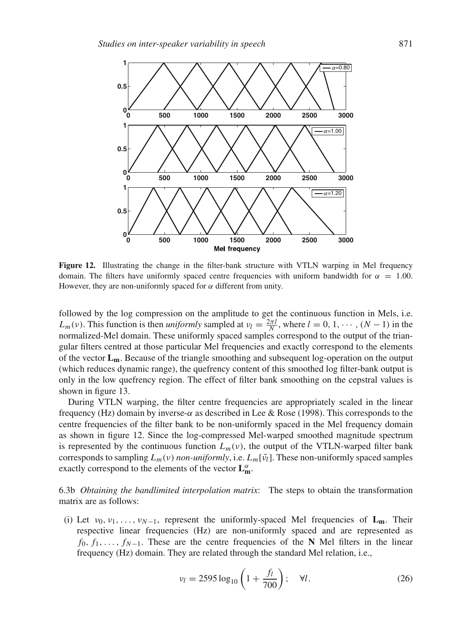

**Figure 12.** Illustrating the change in the filter-bank structure with VTLN warping in Mel frequency domain. The filters have uniformly spaced centre frequencies with uniform bandwidth for  $\alpha = 1.00$ . However, they are non-uniformly spaced for  $\alpha$  different from unity.

followed by the log compression on the amplitude to get the continuous function in Mels, i.e. *L<sub>m</sub>*(*v*). This function is then *uniformly* sampled at  $v_l = \frac{2\pi l}{N}$ , where  $l = 0, 1, \dots, (N - 1)$  in the normalized-Mel domain. These uniformly spaced samples correspond to the output of the triangular filters centred at those particular Mel frequencies and exactly correspond to the elements of the vector **Lm**. Because of the triangle smoothing and subsequent log-operation on the output (which reduces dynamic range), the quefrency content of this smoothed log filter-bank output is only in the low quefrency region. The effect of filter bank smoothing on the cepstral values is shown in figure 13.

During VTLN warping, the filter centre frequencies are appropriately scaled in the linear frequency (Hz) domain by inverse- $\alpha$  as described in Lee & Rose (1998). This corresponds to the centre frequencies of the filter bank to be non-uniformly spaced in the Mel frequency domain as shown in figure 12. Since the log-compressed Mel-warped smoothed magnitude spectrum is represented by the continuous function  $L_m(v)$ , the output of the VTLN-warped filter bank corresponds to sampling *L<sub>m</sub>*(*ν*) *non-uniformly*, i.e. *L<sub>m</sub>*[ $\tilde{v}_l$ ]. These non-uniformly spaced samples exactly correspond to the elements of the vector  $\mathbf{L}_{\mathbf{m}}^{\alpha}$ .

6.3b *Obtaining the bandlimited interpolation matrix*: The steps to obtain the transformation matrix are as follows:

(i) Let  $v_0, v_1, \ldots, v_{N-1}$ , represent the uniformly-spaced Mel frequencies of  $\mathbf{L}_m$ . Their respective linear frequencies (Hz) are non-uniformly spaced and are represented as  $f_0, f_1, \ldots, f_{N-1}$ . These are the centre frequencies of the **N** Mel filters in the linear frequency (Hz) domain. They are related through the standard Mel relation, i.e.,

$$
\nu_l = 2595 \log_{10} \left( 1 + \frac{f_l}{700} \right); \quad \forall l. \tag{26}
$$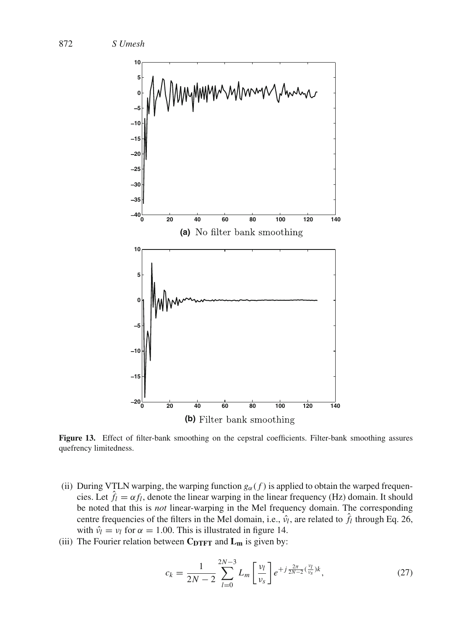

**Figure 13.** Effect of filter-bank smoothing on the cepstral coefficients. Filter-bank smoothing assures quefrency limitedness.

- (ii) During VTLN warping, the warping function  $g_{\alpha}(f)$  is applied to obtain the warped frequencies. Let  $\hat{f}_l = \alpha f_l$ , denote the linear warping in the linear frequency (Hz) domain. It should be noted that this is *not* linear-warping in the Mel frequency domain. The corresponding centre frequencies of the filters in the Mel domain, i.e.,  $\hat{v}_l$ , are related to  $\hat{f}_l$  through Eq. 26, with  $\hat{v}_l = v_l$  for  $\alpha = 1.00$ . This is illustrated in figure 14.
- (iii) The Fourier relation between  $C_{DTFT}$  and  $L_m$  is given by:

$$
c_k = \frac{1}{2N-2} \sum_{l=0}^{2N-3} L_m \left[ \frac{\nu_l}{\nu_s} \right] e^{+j \frac{2\pi}{2N-2} (\frac{\nu_l}{\nu_s}) k}, \tag{27}
$$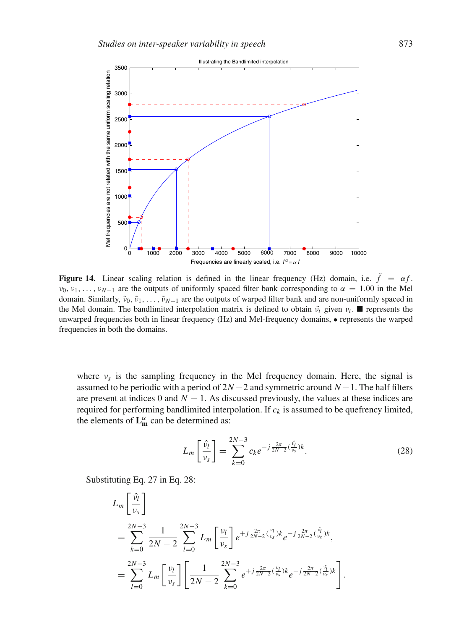

**Figure 14.** Linear scaling relation is defined in the linear frequency (Hz) domain, i.e.  $\tilde{f} = \alpha f$ .  $v_0, v_1, \ldots, v_{N-1}$  are the outputs of uniformly spaced filter bank corresponding to  $\alpha = 1.00$  in the Mel domain. Similarly,  $\tilde{v}_0, \tilde{v}_1, \ldots, \tilde{v}_{N-1}$  are the outputs of warped filter bank and are non-uniformly spaced in the Mel domain. The bandlimited interpolation matrix is defined to obtain  $\tilde{v_i}$  given  $v_i$ .  $\blacksquare$  represents the unwarped frequencies both in linear frequency (Hz) and Mel-frequency domains, • represents the warped frequencies in both the domains.

where  $v_s$  is the sampling frequency in the Mel frequency domain. Here, the signal is assumed to be periodic with a period of 2*N* −2 and symmetric around *N* −1. The half filters are present at indices 0 and  $N - 1$ . As discussed previously, the values at these indices are required for performing bandlimited interpolation. If  $c_k$  is assumed to be quefrency limited, the elements of  $\mathbf{L}_{\mathbf{m}}^{\alpha}$  can be determined as:

$$
L_m \left[ \frac{\hat{v}_l}{v_s} \right] = \sum_{k=0}^{2N-3} c_k e^{-j \frac{2\pi}{2N-2} (\frac{\hat{v}_l}{v_s}) k}.
$$
 (28)

Substituting Eq. 27 in Eq. 28:

$$
L_m \left[ \frac{\hat{v}_l}{v_s} \right]
$$
  
=  $\sum_{k=0}^{2N-3} \frac{1}{2N-2} \sum_{l=0}^{2N-3} L_m \left[ \frac{v_l}{v_s} \right] e^{+j \frac{2\pi}{2N-2} (\frac{v_l}{v_s}) k} e^{-j \frac{2\pi}{2N-2} (\frac{\hat{v}_l}{v_s}) k},$   
=  $\sum_{l=0}^{2N-3} L_m \left[ \frac{v_l}{v_s} \right] \left[ \frac{1}{2N-2} \sum_{k=0}^{2N-3} e^{+j \frac{2\pi}{2N-2} (\frac{\hat{v}_l}{v_s}) k} e^{-j \frac{2\pi}{2N-2} (\frac{\hat{v}_l}{v_s}) k} \right].$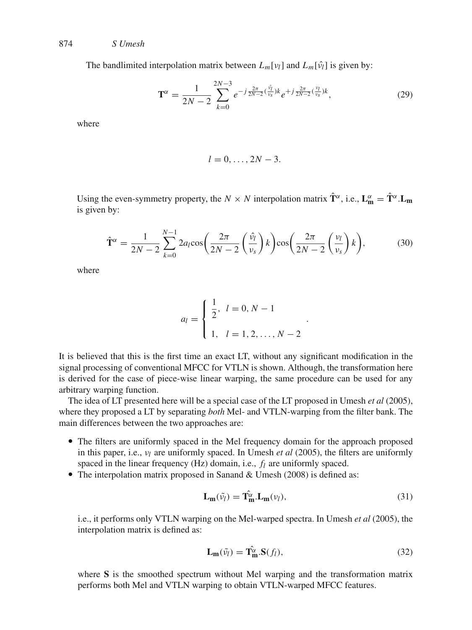The bandlimited interpolation matrix between  $L_m[v_l]$  and  $L_m[\hat{v_l}]$  is given by:

$$
\mathbf{T}^{\alpha} = \frac{1}{2N-2} \sum_{k=0}^{2N-3} e^{-j\frac{2\pi}{2N-2}(\frac{\hat{v}_j}{v_s})k} e^{+j\frac{2\pi}{2N-2}(\frac{v_j}{v_s})k}, \qquad (29)
$$

where

$$
l=0,\ldots,2N-3.
$$

Using the even-symmetry property, the  $N \times N$  interpolation matrix  $\hat{\mathbf{T}}^{\alpha}$ , i.e.,  $\mathbf{L}_{m}^{\alpha} = \hat{\mathbf{T}}^{\alpha} \cdot \mathbf{L}_{m}$ is given by:

$$
\hat{\mathbf{T}}^{\alpha} = \frac{1}{2N-2} \sum_{k=0}^{N-1} 2a_l \cos\left(\frac{2\pi}{2N-2} \left(\frac{\hat{v}_l}{v_s}\right) k\right) \cos\left(\frac{2\pi}{2N-2} \left(\frac{v_l}{v_s}\right) k\right),\tag{30}
$$

where

$$
a_l = \begin{cases} \frac{1}{2}, & l = 0, N - 1 \\ 1, & l = 1, 2, ..., N - 2 \end{cases}
$$

It is believed that this is the first time an exact LT, without any significant modification in the signal processing of conventional MFCC for VTLN is shown. Although, the transformation here is derived for the case of piece-wise linear warping, the same procedure can be used for any arbitrary warping function.

The idea of LT presented here will be a special case of the LT proposed in Umesh *et al* (2005), where they proposed a LT by separating *both* Mel- and VTLN-warping from the filter bank. The main differences between the two approaches are:

- The filters are uniformly spaced in the Mel frequency domain for the approach proposed in this paper, i.e., ν*<sup>l</sup>* are uniformly spaced. In Umesh *et al* (2005), the filters are uniformly spaced in the linear frequency (Hz) domain, i.e., *fl* are uniformly spaced.
- The interpolation matrix proposed in Sanand & Umesh (2008) is defined as:

$$
\mathbf{L}_{\mathbf{m}}(\tilde{\mathbf{v}}_l) = \mathbf{T}_{\mathbf{m}}^{\hat{\alpha}}.\mathbf{L}_{\mathbf{m}}(\mathbf{v}_l),\tag{31}
$$

.

i.e., it performs only VTLN warping on the Mel-warped spectra. In Umesh *et al* (2005), the interpolation matrix is defined as:

$$
\mathbf{L}_{\mathbf{m}}(\tilde{\mathbf{v}}_l) = \mathbf{T}_{\mathbf{m}}^{\hat{\alpha}} . \mathbf{S}(f_l), \tag{32}
$$

where **S** is the smoothed spectrum without Mel warping and the transformation matrix performs both Mel and VTLN warping to obtain VTLN-warped MFCC features.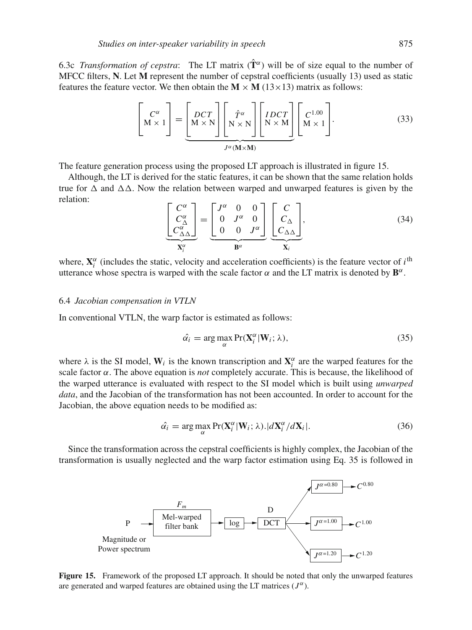6.3c *Transformation of cepstra*: The LT matrix  $(\hat{\mathbf{T}}^{\alpha})$  will be of size equal to the number of MFCC filters, **N**. Let **M** represent the number of cepstral coefficients (usually 13) used as static features the feature vector. We then obtain the  $M \times M$  (13×13) matrix as follows:

$$
\begin{bmatrix} C^{\alpha} \\ M \times 1 \end{bmatrix} = \underbrace{\begin{bmatrix} DCT \\ M \times N \end{bmatrix} \begin{bmatrix} \hat{T}^{\alpha} \\ N \times N \end{bmatrix} \begin{bmatrix} IDCT \\ N \times M \end{bmatrix}}_{J^{\alpha}(M \times M)} \begin{bmatrix} C^{1.00} \\ M \times 1 \end{bmatrix} .
$$
 (33)

The feature generation process using the proposed LT approach is illustrated in figure 15.

Although, the LT is derived for the static features, it can be shown that the same relation holds true for  $\Delta$  and  $\Delta\Delta$ . Now the relation between warped and unwarped features is given by the relation:

$$
\underbrace{\begin{bmatrix} C^{\alpha} \\ C^{\alpha}_{\Delta} \\ C^{\alpha}_{\Delta \Delta} \end{bmatrix}}_{\mathbf{X}_{i}^{\alpha}} = \underbrace{\begin{bmatrix} J^{\alpha} & 0 & 0 \\ 0 & J^{\alpha} & 0 \\ 0 & 0 & J^{\alpha} \end{bmatrix}}_{\mathbf{B}^{\alpha}} \underbrace{\begin{bmatrix} C \\ C_{\Delta} \\ C_{\Delta \Delta} \end{bmatrix}}_{\mathbf{X}_{i}},
$$
\n(34)

where,  $\mathbf{X}_i^{\alpha}$  (includes the static, velocity and acceleration coefficients) is the feature vector of *i*<sup>th</sup> utterance whose spectra is warped with the scale factor  $\alpha$  and the LT matrix is denoted by  $\mathbf{B}^{\alpha}$ .

#### 6.4 *Jacobian compensation in VTLN*

In conventional VTLN, the warp factor is estimated as follows:

$$
\hat{\alpha_i} = \arg \max_{\alpha} \Pr(\mathbf{X}_i^{\alpha} | \mathbf{W}_i; \lambda), \tag{35}
$$

where  $\lambda$  is the SI model,  $W_i$  is the known transcription and  $X_i^{\alpha}$  are the warped features for the scale factor  $\alpha$ . The above equation is *not* completely accurate. This is because, the likelihood of the warped utterance is evaluated with respect to the SI model which is built using *unwarped data*, and the Jacobian of the transformation has not been accounted. In order to account for the Jacobian, the above equation needs to be modified as:

$$
\hat{\alpha_i} = \arg \max_{\alpha} \Pr(\mathbf{X}_i^{\alpha} | \mathbf{W}_i; \lambda).|d\mathbf{X}_i^{\alpha}/d\mathbf{X}_i|.
$$
 (36)

Since the transformation across the cepstral coefficients is highly complex, the Jacobian of the transformation is usually neglected and the warp factor estimation using Eq. 35 is followed in



**Figure 15.** Framework of the proposed LT approach. It should be noted that only the unwarped features are generated and warped features are obtained using the LT matrices  $(J^{\alpha})$ .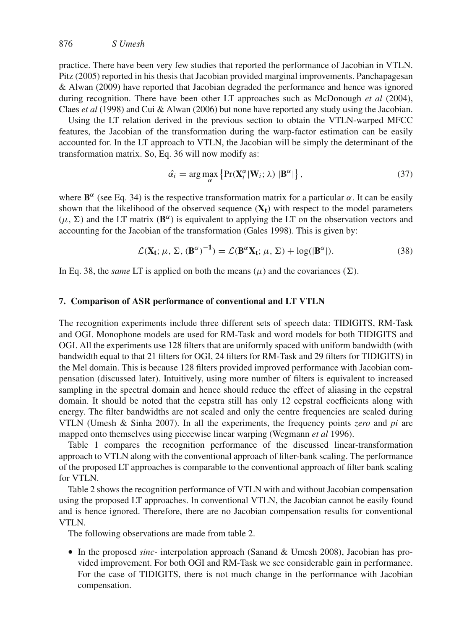practice. There have been very few studies that reported the performance of Jacobian in VTLN. Pitz (2005) reported in his thesis that Jacobian provided marginal improvements. Panchapagesan & Alwan (2009) have reported that Jacobian degraded the performance and hence was ignored during recognition. There have been other LT approaches such as McDonough *et al* (2004), Claes *et al* (1998) and Cui & Alwan (2006) but none have reported any study using the Jacobian.

Using the LT relation derived in the previous section to obtain the VTLN-warped MFCC features, the Jacobian of the transformation during the warp-factor estimation can be easily accounted for. In the LT approach to VTLN, the Jacobian will be simply the determinant of the transformation matrix. So, Eq. 36 will now modify as:

$$
\hat{\alpha_i} = \arg \max_{\alpha} \left\{ \Pr(\mathbf{X}_i^{\alpha} | \mathbf{W}_i; \lambda) | \mathbf{B}^{\alpha}| \right\},\tag{37}
$$

where  $\mathbf{B}^{\alpha}$  (see Eq. 34) is the respective transformation matrix for a particular  $\alpha$ . It can be easily shown that the likelihood of the observed sequence  $(\mathbf{X}_t)$  with respect to the model parameters  $(\mu, \Sigma)$  and the LT matrix ( $\mathbf{B}^{\alpha}$ ) is equivalent to applying the LT on the observation vectors and accounting for the Jacobian of the transformation (Gales 1998). This is given by:

$$
\mathcal{L}(\mathbf{X}_{t}; \mu, \Sigma, (\mathbf{B}^{\alpha})^{-1}) = \mathcal{L}(\mathbf{B}^{\alpha}\mathbf{X}_{t}; \mu, \Sigma) + \log(|\mathbf{B}^{\alpha}|). \tag{38}
$$

In Eq. 38, the *same* LT is applied on both the means  $(\mu)$  and the covariances  $(\Sigma)$ .

## **7. Comparison of ASR performance of conventional and LT VTLN**

The recognition experiments include three different sets of speech data: TIDIGITS, RM-Task and OGI. Monophone models are used for RM-Task and word models for both TIDIGITS and OGI. All the experiments use 128 filters that are uniformly spaced with uniform bandwidth (with bandwidth equal to that 21 filters for OGI, 24 filters for RM-Task and 29 filters for TIDIGITS) in the Mel domain. This is because 128 filters provided improved performance with Jacobian compensation (discussed later). Intuitively, using more number of filters is equivalent to increased sampling in the spectral domain and hence should reduce the effect of aliasing in the cepstral domain. It should be noted that the cepstra still has only 12 cepstral coefficients along with energy. The filter bandwidths are not scaled and only the centre frequencies are scaled during VTLN (Umesh & Sinha 2007). In all the experiments, the frequency points *zero* and *pi* are mapped onto themselves using piecewise linear warping (Wegmann *et al* 1996).

Table 1 compares the recognition performance of the discussed linear-transformation approach to VTLN along with the conventional approach of filter-bank scaling. The performance of the proposed LT approaches is comparable to the conventional approach of filter bank scaling for VTLN.

Table 2 shows the recognition performance of VTLN with and without Jacobian compensation using the proposed LT approaches. In conventional VTLN, the Jacobian cannot be easily found and is hence ignored. Therefore, there are no Jacobian compensation results for conventional VTLN.

The following observations are made from table 2.

• In the proposed *sinc-* interpolation approach (Sanand & Umesh 2008), Jacobian has provided improvement. For both OGI and RM-Task we see considerable gain in performance. For the case of TIDIGITS, there is not much change in the performance with Jacobian compensation.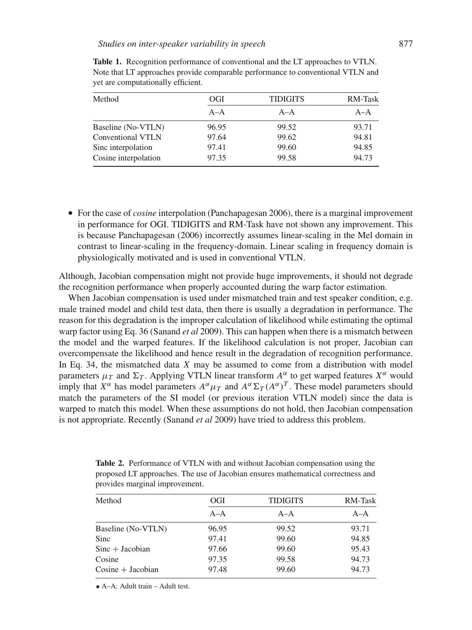| Method               | OGI   | <b>TIDIGITS</b> | <b>RM-Task</b> |  |
|----------------------|-------|-----------------|----------------|--|
|                      | $A-A$ | $A - A$         | $A-A$          |  |
| Baseline (No-VTLN)   | 96.95 | 99.52           | 93.71          |  |
| Conventional VTLN    | 97.64 | 99.62           | 94.81          |  |
| Sinc interpolation   | 97.41 | 99.60           | 94.85          |  |
| Cosine interpolation | 97.35 | 99.58           | 94.73          |  |

**Table 1.** Recognition performance of conventional and the LT approaches to VTLN. Note that LT approaches provide comparable performance to conventional VTLN and yet are computationally efficient.

• For the case of *cosine* interpolation (Panchapagesan 2006), there is a marginal improvement in performance for OGI. TIDIGITS and RM-Task have not shown any improvement. This is because Panchapagesan (2006) incorrectly assumes linear-scaling in the Mel domain in contrast to linear-scaling in the frequency-domain. Linear scaling in frequency domain is physiologically motivated and is used in conventional VTLN.

Although, Jacobian compensation might not provide huge improvements, it should not degrade the recognition performance when properly accounted during the warp factor estimation.

When Jacobian compensation is used under mismatched train and test speaker condition, e.g. male trained model and child test data, then there is usually a degradation in performance. The reason for this degradation is the improper calculation of likelihood while estimating the optimal warp factor using Eq. 36 (Sanand *et al* 2009). This can happen when there is a mismatch between the model and the warped features. If the likelihood calculation is not proper, Jacobian can overcompensate the likelihood and hence result in the degradation of recognition performance. In Eq. 34, the mismatched data *X* may be assumed to come from a distribution with model parameters  $\mu_T$  and  $\Sigma_T$ . Applying VTLN linear transform  $A^\alpha$  to get warped features  $X^\alpha$  would imply that  $X^{\alpha}$  has model parameters  $A^{\alpha} \mu_T$  and  $A^{\alpha} \Sigma_T (A^{\alpha})^T$ . These model parameters should match the parameters of the SI model (or previous iteration VTLN model) since the data is warped to match this model. When these assumptions do not hold, then Jacobian compensation is not appropriate. Recently (Sanand *et al* 2009) have tried to address this problem.

| Method              | OGI   | <b>TIDIGITS</b> | <b>RM-Task</b> |  |
|---------------------|-------|-----------------|----------------|--|
|                     | $A-A$ | $A - A$         | $A-A$          |  |
| Baseline (No-VTLN)  | 96.95 | 99.52           | 93.71          |  |
| Sinc                | 97.41 | 99.60           | 94.85          |  |
| $Sinc + Jacobian$   | 97.66 | 99.60           | 95.43          |  |
| Cosine              | 97.35 | 99.58           | 94.73          |  |
| $Cosine + Jacobian$ | 97.48 | 99.60           | 94.73          |  |

**Table 2.** Performance of VTLN with and without Jacobian compensation using the proposed LT approaches. The use of Jacobian ensures mathematical correctness and provides marginal improvement.

• A–A: Adult train – Adult test.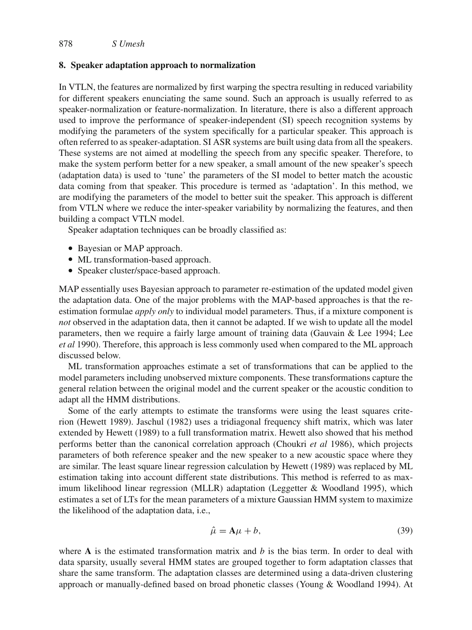### **8. Speaker adaptation approach to normalization**

In VTLN, the features are normalized by first warping the spectra resulting in reduced variability for different speakers enunciating the same sound. Such an approach is usually referred to as speaker-normalization or feature-normalization. In literature, there is also a different approach used to improve the performance of speaker-independent (SI) speech recognition systems by modifying the parameters of the system specifically for a particular speaker. This approach is often referred to as speaker-adaptation. SI ASR systems are built using data from all the speakers. These systems are not aimed at modelling the speech from any specific speaker. Therefore, to make the system perform better for a new speaker, a small amount of the new speaker's speech (adaptation data) is used to 'tune' the parameters of the SI model to better match the acoustic data coming from that speaker. This procedure is termed as 'adaptation'. In this method, we are modifying the parameters of the model to better suit the speaker. This approach is different from VTLN where we reduce the inter-speaker variability by normalizing the features, and then building a compact VTLN model.

Speaker adaptation techniques can be broadly classified as:

- Bayesian or MAP approach.
- ML transformation-based approach.
- Speaker cluster/space-based approach.

MAP essentially uses Bayesian approach to parameter re-estimation of the updated model given the adaptation data. One of the major problems with the MAP-based approaches is that the reestimation formulae *apply only* to individual model parameters. Thus, if a mixture component is *not* observed in the adaptation data, then it cannot be adapted. If we wish to update all the model parameters, then we require a fairly large amount of training data (Gauvain & Lee 1994; Lee *et al* 1990). Therefore, this approach is less commonly used when compared to the ML approach discussed below.

ML transformation approaches estimate a set of transformations that can be applied to the model parameters including unobserved mixture components. These transformations capture the general relation between the original model and the current speaker or the acoustic condition to adapt all the HMM distributions.

Some of the early attempts to estimate the transforms were using the least squares criterion (Hewett 1989). Jaschul (1982) uses a tridiagonal frequency shift matrix, which was later extended by Hewett (1989) to a full transformation matrix. Hewett also showed that his method performs better than the canonical correlation approach (Choukri *et al* 1986), which projects parameters of both reference speaker and the new speaker to a new acoustic space where they are similar. The least square linear regression calculation by Hewett (1989) was replaced by ML estimation taking into account different state distributions. This method is referred to as maximum likelihood linear regression (MLLR) adaptation (Leggetter & Woodland 1995), which estimates a set of LTs for the mean parameters of a mixture Gaussian HMM system to maximize the likelihood of the adaptation data, i.e.,

$$
\hat{\mu} = \mathbf{A}\mu + b,\tag{39}
$$

where **A** is the estimated transformation matrix and *b* is the bias term. In order to deal with data sparsity, usually several HMM states are grouped together to form adaptation classes that share the same transform. The adaptation classes are determined using a data-driven clustering approach or manually-defined based on broad phonetic classes (Young & Woodland 1994). At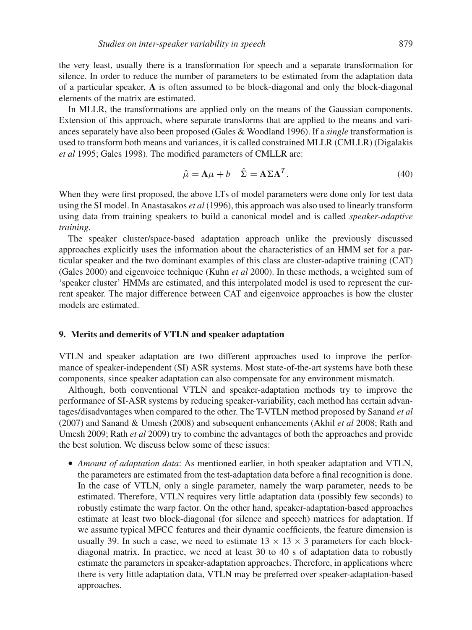the very least, usually there is a transformation for speech and a separate transformation for silence. In order to reduce the number of parameters to be estimated from the adaptation data of a particular speaker, **A** is often assumed to be block-diagonal and only the block-diagonal elements of the matrix are estimated.

In MLLR, the transformations are applied only on the means of the Gaussian components. Extension of this approach, where separate transforms that are applied to the means and variances separately have also been proposed (Gales & Woodland 1996). If a *single* transformation is used to transform both means and variances, it is called constrained MLLR (CMLLR) (Digalakis *et al* 1995; Gales 1998). The modified parameters of CMLLR are:

$$
\hat{\mu} = A\mu + b \quad \hat{\Sigma} = A\Sigma A^T. \tag{40}
$$

When they were first proposed, the above LTs of model parameters were done only for test data using the SI model. In Anastasakos *et al* (1996), this approach was also used to linearly transform using data from training speakers to build a canonical model and is called *speaker-adaptive training*.

The speaker cluster/space-based adaptation approach unlike the previously discussed approaches explicitly uses the information about the characteristics of an HMM set for a particular speaker and the two dominant examples of this class are cluster-adaptive training (CAT) (Gales 2000) and eigenvoice technique (Kuhn *et al* 2000). In these methods, a weighted sum of 'speaker cluster' HMMs are estimated, and this interpolated model is used to represent the current speaker. The major difference between CAT and eigenvoice approaches is how the cluster models are estimated.

### **9. Merits and demerits of VTLN and speaker adaptation**

VTLN and speaker adaptation are two different approaches used to improve the performance of speaker-independent (SI) ASR systems. Most state-of-the-art systems have both these components, since speaker adaptation can also compensate for any environment mismatch.

Although, both conventional VTLN and speaker-adaptation methods try to improve the performance of SI-ASR systems by reducing speaker-variability, each method has certain advantages/disadvantages when compared to the other. The T-VTLN method proposed by Sanand *et al* (2007) and Sanand & Umesh (2008) and subsequent enhancements (Akhil *et al* 2008; Rath and Umesh 2009; Rath *et al* 2009) try to combine the advantages of both the approaches and provide the best solution. We discuss below some of these issues:

• *Amount of adaptation data*: As mentioned earlier, in both speaker adaptation and VTLN, the parameters are estimated from the test-adaptation data before a final recognition is done. In the case of VTLN, only a single parameter, namely the warp parameter, needs to be estimated. Therefore, VTLN requires very little adaptation data (possibly few seconds) to robustly estimate the warp factor. On the other hand, speaker-adaptation-based approaches estimate at least two block-diagonal (for silence and speech) matrices for adaptation. If we assume typical MFCC features and their dynamic coefficients, the feature dimension is usually 39. In such a case, we need to estimate  $13 \times 13 \times 3$  parameters for each blockdiagonal matrix. In practice, we need at least 30 to 40 s of adaptation data to robustly estimate the parameters in speaker-adaptation approaches. Therefore, in applications where there is very little adaptation data, VTLN may be preferred over speaker-adaptation-based approaches.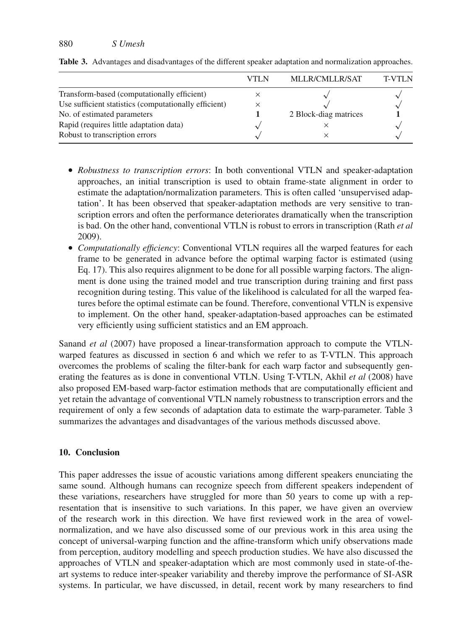|                                                       | VTI N    | MLLR/CMLLR/SAT        | <b>T-VTI N</b> |
|-------------------------------------------------------|----------|-----------------------|----------------|
| Transform-based (computationally efficient)           | $\times$ |                       |                |
| Use sufficient statistics (computationally efficient) | $\times$ |                       |                |
| No. of estimated parameters                           |          | 2 Block-diag matrices |                |
| Rapid (requires little adaptation data)               |          |                       |                |
| Robust to transcription errors                        |          | ×                     |                |

**Table 3.** Advantages and disadvantages of the different speaker adaptation and normalization approaches.

- *Robustness to transcription errors*: In both conventional VTLN and speaker-adaptation approaches, an initial transcription is used to obtain frame-state alignment in order to estimate the adaptation/normalization parameters. This is often called 'unsupervised adaptation'. It has been observed that speaker-adaptation methods are very sensitive to transcription errors and often the performance deteriorates dramatically when the transcription is bad. On the other hand, conventional VTLN is robust to errors in transcription (Rath *et al* 2009).
- *Computationally efficiency*: Conventional VTLN requires all the warped features for each frame to be generated in advance before the optimal warping factor is estimated (using Eq. 17). This also requires alignment to be done for all possible warping factors. The alignment is done using the trained model and true transcription during training and first pass recognition during testing. This value of the likelihood is calculated for all the warped features before the optimal estimate can be found. Therefore, conventional VTLN is expensive to implement. On the other hand, speaker-adaptation-based approaches can be estimated very efficiently using sufficient statistics and an EM approach.

Sanand *et al* (2007) have proposed a linear-transformation approach to compute the VTLNwarped features as discussed in section 6 and which we refer to as T-VTLN. This approach overcomes the problems of scaling the filter-bank for each warp factor and subsequently generating the features as is done in conventional VTLN. Using T-VTLN, Akhil *et al* (2008) have also proposed EM-based warp-factor estimation methods that are computationally efficient and yet retain the advantage of conventional VTLN namely robustness to transcription errors and the requirement of only a few seconds of adaptation data to estimate the warp-parameter. Table 3 summarizes the advantages and disadvantages of the various methods discussed above.

# **10. Conclusion**

This paper addresses the issue of acoustic variations among different speakers enunciating the same sound. Although humans can recognize speech from different speakers independent of these variations, researchers have struggled for more than 50 years to come up with a representation that is insensitive to such variations. In this paper, we have given an overview of the research work in this direction. We have first reviewed work in the area of vowelnormalization, and we have also discussed some of our previous work in this area using the concept of universal-warping function and the affine-transform which unify observations made from perception, auditory modelling and speech production studies. We have also discussed the approaches of VTLN and speaker-adaptation which are most commonly used in state-of-theart systems to reduce inter-speaker variability and thereby improve the performance of SI-ASR systems. In particular, we have discussed, in detail, recent work by many researchers to find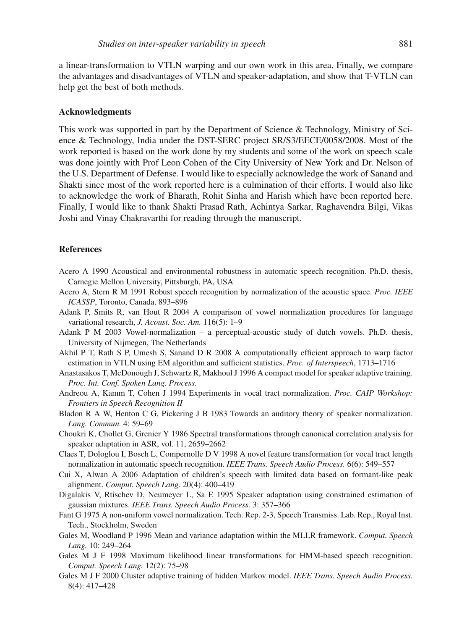a linear-transformation to VTLN warping and our own work in this area. Finally, we compare the advantages and disadvantages of VTLN and speaker-adaptation, and show that T-VTLN can help get the best of both methods.

#### **Acknowledgments**

This work was supported in part by the Department of Science & Technology, Ministry of Science & Technology, India under the DST-SERC project SR/S3/EECE/0058/2008. Most of the work reported is based on the work done by my students and some of the work on speech scale was done jointly with Prof Leon Cohen of the City University of New York and Dr. Nelson of the U.S. Department of Defense. I would like to especially acknowledge the work of Sanand and Shakti since most of the work reported here is a culmination of their efforts. I would also like to acknowledge the work of Bharath, Rohit Sinha and Harish which have been reported here. Finally, I would like to thank Shakti Prasad Rath, Achintya Sarkar, Raghavendra Bilgi, Vikas Joshi and Vinay Chakravarthi for reading through the manuscript.

## **References**

- Acero A 1990 Acoustical and environmental robustness in automatic speech recognition. Ph.D. thesis, Carnegie Mellon University, Pittsburgh, PA, USA
- Acero A, Stern R M 1991 Robust speech recognition by normalization of the acoustic space. *Proc. IEEE ICASSP*, Toronto, Canada, 893–896
- Adank P, Smits R, van Hout R 2004 A comparison of vowel normalization procedures for language variational research, *J. Acoust. Soc. Am.* 116(5): 1–9
- Adank P M 2003 Vowel-normalization a perceptual-acoustic study of dutch vowels. Ph.D. thesis, University of Nijmegen, The Netherlands
- Akhil P T, Rath S P, Umesh S, Sanand D R 2008 A computationally efficient approach to warp factor estimation in VTLN using EM algorithm and sufficient statistics. *Proc. of Interspeech*, 1713–1716
- Anastasakos T, McDonough J, Schwartz R, Makhoul J 1996 A compact model for speaker adaptive training. *Proc. Int. Conf. Spoken Lang. Process.*
- Andreou A, Kamm T, Cohen J 1994 Experiments in vocal tract normalization. *Proc. CAIP Workshop: Frontiers in Speech Recognition II*
- Bladon R A W, Henton C G, Pickering J B 1983 Towards an auditory theory of speaker normalization. *Lang. Commun.* 4: 59–69
- Choukri K, Chollet G, Grenier Y 1986 Spectral transformations through canonical correlation analysis for speaker adaptation in ASR, vol. 11, 2659–2662
- Claes T, Dologlou I, Bosch L, Compernolle D V 1998 A novel feature transformation for vocal tract length normalization in automatic speech recognition. *IEEE Trans. Speech Audio Process.* 6(6): 549–557
- Cui X, Alwan A 2006 Adaptation of children's speech with limited data based on formant-like peak alignment. *Comput. Speech Lang.* 20(4): 400–419
- Digalakis V, Rtischev D, Neumeyer L, Sa E 1995 Speaker adaptation using constrained estimation of gaussian mixtures. *IEEE Trans. Speech Audio Process.* 3: 357–366
- Fant G 1975 A non-uniform vowel normalization. Tech. Rep. 2-3, Speech Transmiss. Lab. Rep., Royal Inst. Tech., Stockholm, Sweden
- Gales M, Woodland P 1996 Mean and variance adaptation within the MLLR framework. *Comput. Speech Lang.* 10: 249–264
- Gales M J F 1998 Maximum likelihood linear transformations for HMM-based speech recognition. *Comput. Speech Lang.* 12(2): 75–98
- Gales M J F 2000 Cluster adaptive training of hidden Markov model. *IEEE Trans. Speech Audio Process.* 8(4): 417–428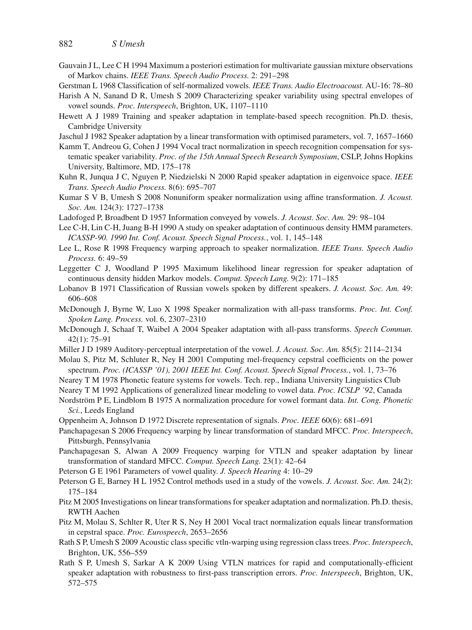- Gauvain J L, Lee C H 1994 Maximum a posteriori estimation for multivariate gaussian mixture observations of Markov chains. *IEEE Trans. Speech Audio Process.* 2: 291–298
- Gerstman L 1968 Classification of self-normalized vowels. *IEEE Trans. Audio Electroacoust.* AU-16: 78–80
- Harish A N, Sanand D R, Umesh S 2009 Characterizing speaker variability using spectral envelopes of vowel sounds. *Proc. Interspeech*, Brighton, UK, 1107–1110
- Hewett A J 1989 Training and speaker adaptation in template-based speech recognition. Ph.D. thesis, Cambridge University
- Jaschul J 1982 Speaker adaptation by a linear transformation with optimised parameters, vol. 7, 1657–1660
- Kamm T, Andreou G, Cohen J 1994 Vocal tract normalization in speech recognition compensation for systematic speaker variability. *Proc. of the 15th Annual Speech Research Symposium*, CSLP, Johns Hopkins University, Baltimore, MD, 175–178
- Kuhn R, Junqua J C, Nguyen P, Niedzielski N 2000 Rapid speaker adaptation in eigenvoice space. *IEEE Trans. Speech Audio Process.* 8(6): 695–707
- Kumar S V B, Umesh S 2008 Nonuniform speaker normalization using affine transformation. *J. Acoust. Soc. Am.* 124(3): 1727–1738
- Ladofoged P, Broadbent D 1957 Information conveyed by vowels. *J. Acoust. Soc. Am.* 29: 98–104
- Lee C-H, Lin C-H, Juang B-H 1990 A study on speaker adaptation of continuous density HMM parameters. *ICASSP-90. 1990 Int. Conf. Acoust. Speech Signal Process.*, vol. 1, 145–148
- Lee L, Rose R 1998 Frequency warping approach to speaker normalization. *IEEE Trans. Speech Audio Process.* 6: 49–59
- Leggetter C J, Woodland P 1995 Maximum likelihood linear regression for speaker adaptation of continuous density hidden Markov models. *Comput. Speech Lang.* 9(2): 171–185
- Lobanov B 1971 Classification of Russian vowels spoken by different speakers. *J. Acoust. Soc. Am.* 49: 606–608
- McDonough J, Byrne W, Luo X 1998 Speaker normalization with all-pass transforms. *Proc. Int. Conf. Spoken Lang. Process.* vol. 6, 2307–2310
- McDonough J, Schaaf T, Waibel A 2004 Speaker adaptation with all-pass transforms. *Speech Commun.* 42(1): 75–91
- Miller J D 1989 Auditory-perceptual interpretation of the vowel. *J. Acoust. Soc. Am.* 85(5): 2114–2134
- Molau S, Pitz M, Schluter R, Ney H 2001 Computing mel-frequency cepstral coefficients on the power spectrum. *Proc. (ICASSP '01), 2001 IEEE Int. Conf. Acoust. Speech Signal Process.*, vol. 1, 73–76
- Nearey T M 1978 Phonetic feature systems for vowels. Tech. rep., Indiana University Linguistics Club
- Nearey T M 1992 Applications of generalized linear modeling to vowel data. *Proc. ICSLP '92*, Canada
- Nordström P E, Lindblom B 1975 A normalization procedure for vowel formant data. *Int. Cong. Phonetic Sci.*, Leeds England
- Oppenheim A, Johnson D 1972 Discrete representation of signals. *Proc. IEEE* 60(6): 681–691
- Panchapagesan S 2006 Frequency warping by linear transformation of standard MFCC. *Proc. Interspeech*, Pittsburgh, Pennsylvania
- Panchapagesan S, Alwan A 2009 Frequency warping for VTLN and speaker adaptation by linear transformation of standard MFCC. *Comput. Speech Lang.* 23(1): 42–64
- Peterson G E 1961 Parameters of vowel quality. *J. Speech Hearing* 4: 10–29
- Peterson G E, Barney H L 1952 Control methods used in a study of the vowels. *J. Acoust. Soc. Am.* 24(2): 175–184
- Pitz M 2005 Investigations on linear transformations for speaker adaptation and normalization. Ph.D. thesis, RWTH Aachen
- Pitz M, Molau S, Schlter R, Uter R S, Ney H 2001 Vocal tract normalization equals linear transformation in cepstral space. *Proc. Eurospeech*, 2653–2656
- Rath S P, Umesh S 2009 Acoustic class specific vtln-warping using regression class trees. *Proc. Interspeech*, Brighton, UK, 556–559
- Rath S P, Umesh S, Sarkar A K 2009 Using VTLN matrices for rapid and computationally-efficient speaker adaptation with robustness to first-pass transcription errors. *Proc. Interspeech*, Brighton, UK, 572–575